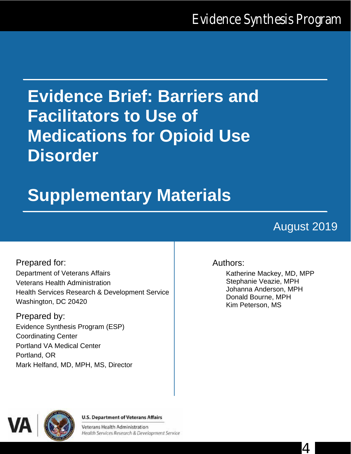# **Evidence Brief: Barriers and Facilitators to Use of Medications for Opioid Use Disorder**

# **Supplementary Materials**

# August 2019

Prepared for: Department of Veterans Affairs Veterans Health Administration Health Services Research & Development Service Washington, DC 20420

Prepared by: Evidence Synthesis Program (ESP) Coordinating Center Portland VA Medical Center Portland, OR Mark Helfand, MD, MPH, MS, Director

### Authors:

Katherine Mackey, MD, MPP Stephanie Veazie, MPH Johanna Anderson, MPH Donald Bourne, MPH Kim Peterson, MS



#### **U.S. Department of Veterans Affairs**

Veterans Health Administration Health Services Research & Development Service

4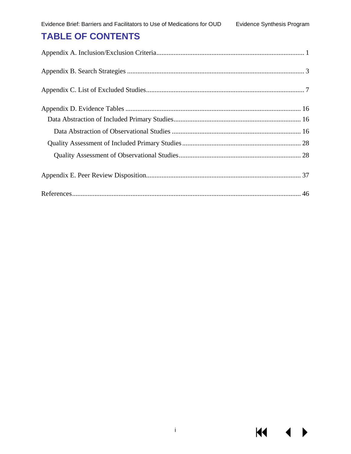## **TABLE OF CONTENTS**

**KK**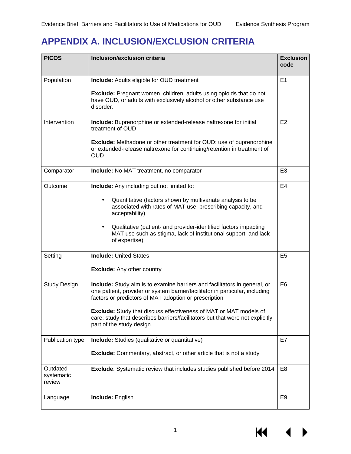# <span id="page-2-0"></span>**APPENDIX A. INCLUSION/EXCLUSION CRITERIA**

| <b>PICOS</b>                     | Inclusion/exclusion criteria                                                                                                                                                                                       | <b>Exclusion</b><br>code |
|----------------------------------|--------------------------------------------------------------------------------------------------------------------------------------------------------------------------------------------------------------------|--------------------------|
| Population                       | <b>Include:</b> Adults eligible for OUD treatment                                                                                                                                                                  | E1                       |
|                                  | <b>Exclude:</b> Pregnant women, children, adults using opioids that do not<br>have OUD, or adults with exclusively alcohol or other substance use<br>disorder.                                                     |                          |
| Intervention                     | Include: Buprenorphine or extended-release naltrexone for initial<br>treatment of OUD                                                                                                                              | E2                       |
|                                  | <b>Exclude:</b> Methadone or other treatment for OUD; use of buprenorphine<br>or extended-release naltrexone for continuing/retention in treatment of<br>OUD                                                       |                          |
| Comparator                       | Include: No MAT treatment, no comparator                                                                                                                                                                           | E <sub>3</sub>           |
| Outcome                          | <b>Include:</b> Any including but not limited to:                                                                                                                                                                  | E <sub>4</sub>           |
|                                  | Quantitative (factors shown by multivariate analysis to be<br>associated with rates of MAT use, prescribing capacity, and<br>acceptability)                                                                        |                          |
|                                  | Qualitative (patient- and provider-identified factors impacting<br>MAT use such as stigma, lack of institutional support, and lack<br>of expertise)                                                                |                          |
| Setting                          | <b>Include: United States</b>                                                                                                                                                                                      | E <sub>5</sub>           |
|                                  | <b>Exclude:</b> Any other country                                                                                                                                                                                  |                          |
| <b>Study Design</b>              | Include: Study aim is to examine barriers and facilitators in general, or<br>one patient, provider or system barrier/facilitator in particular, including<br>factors or predictors of MAT adoption or prescription | E <sub>6</sub>           |
|                                  | Exclude: Study that discuss effectiveness of MAT or MAT models of<br>care; study that describes barriers/facilitators but that were not explicitly<br>part of the study design.                                    |                          |
| Publication type                 | <b>Include:</b> Studies (qualitative or quantitative)                                                                                                                                                              | E7                       |
|                                  | <b>Exclude:</b> Commentary, abstract, or other article that is not a study                                                                                                                                         |                          |
| Outdated<br>systematic<br>review | Exclude: Systematic review that includes studies published before 2014                                                                                                                                             | E <sub>8</sub>           |
| Language                         | Include: English                                                                                                                                                                                                   | E9                       |

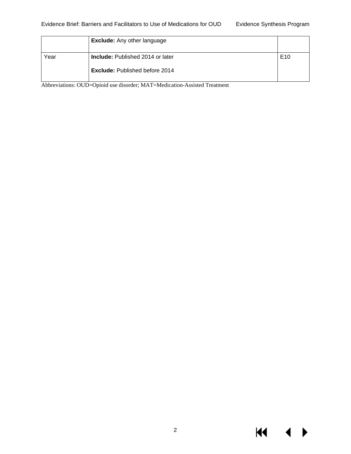$M \cdot 1$ 

 $\blacktriangleright$ 

|      | <b>Exclude:</b> Any other language      |                 |
|------|-----------------------------------------|-----------------|
| Year | <b>Include:</b> Published 2014 or later | E <sub>10</sub> |
|      | <b>Exclude: Published before 2014</b>   |                 |

Abbreviations: OUD=Opioid use disorder; MAT=Medication-Assisted Treatment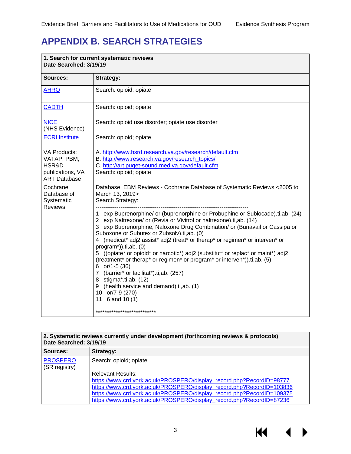# <span id="page-4-0"></span>**APPENDIX B. SEARCH STRATEGIES**

| 1. Search for current systematic reviews<br>Date Searched: 3/19/19                     |                                                                                                                                                                                                                                                                                                                                                                                                                                                                                                                                                                                                                                                                                                                                        |  |
|----------------------------------------------------------------------------------------|----------------------------------------------------------------------------------------------------------------------------------------------------------------------------------------------------------------------------------------------------------------------------------------------------------------------------------------------------------------------------------------------------------------------------------------------------------------------------------------------------------------------------------------------------------------------------------------------------------------------------------------------------------------------------------------------------------------------------------------|--|
| Sources:                                                                               | <b>Strategy:</b>                                                                                                                                                                                                                                                                                                                                                                                                                                                                                                                                                                                                                                                                                                                       |  |
| <b>AHRQ</b>                                                                            | Search: opioid; opiate                                                                                                                                                                                                                                                                                                                                                                                                                                                                                                                                                                                                                                                                                                                 |  |
| <b>CADTH</b>                                                                           | Search: opioid; opiate                                                                                                                                                                                                                                                                                                                                                                                                                                                                                                                                                                                                                                                                                                                 |  |
| <b>NICE</b><br>(NHS Evidence)                                                          | Search: opioid use disorder; opiate use disorder                                                                                                                                                                                                                                                                                                                                                                                                                                                                                                                                                                                                                                                                                       |  |
| <b>ECRI Institute</b>                                                                  | Search: opioid; opiate                                                                                                                                                                                                                                                                                                                                                                                                                                                                                                                                                                                                                                                                                                                 |  |
| <b>VA Products:</b><br>VATAP, PBM,<br>HSR&D<br>publications, VA<br><b>ART Database</b> | A. http://www.hsrd.research.va.gov/research/default.cfm<br>B. http://www.research.va.gov/research_topics/<br>C. http://art.puget-sound.med.va.gov/default.cfm<br>Search: opioid; opiate                                                                                                                                                                                                                                                                                                                                                                                                                                                                                                                                                |  |
| Cochrane<br>Database of<br>Systematic                                                  | Database: EBM Reviews - Cochrane Database of Systematic Reviews < 2005 to<br>March 13, 2019><br>Search Strategy:                                                                                                                                                                                                                                                                                                                                                                                                                                                                                                                                                                                                                       |  |
| <b>Reviews</b>                                                                         | exp Buprenorphine/ or (buprenorphine or Probuphine or Sublocade).ti,ab. (24)<br>1<br>2 exp Naltrexone/ or (Revia or Vivitrol or naltrexone).ti,ab. (14)<br>3 exp Buprenorphine, Naloxone Drug Combination/ or (Bunavail or Cassipa or<br>Suboxone or Subutex or Zubsolv).ti,ab. (0)<br>4 (medicat* adj2 assist* adj2 (treat* or therap* or regimen* or interven* or<br>program*)).ti,ab. (0)<br>5 ((opiate* or opioid* or narcotic*) adj2 (substitut* or replac* or maint*) adj2<br>(treatment* or therap* or regimen* or program* or interven*)).ti,ab. (5)<br>6 $or/1-5(36)$<br>7 (barrier* or facilitat*).ti,ab. (257)<br>8 stigma*.ti,ab. (12)<br>9 (health service and demand).ti,ab. (1)<br>10 or/7-9 (270)<br>11 $6$ and 10 (1) |  |
|                                                                                        | ***************************                                                                                                                                                                                                                                                                                                                                                                                                                                                                                                                                                                                                                                                                                                            |  |

| 2. Systematic reviews currently under development (forthcoming reviews & protocols)<br>Date Searched: 3/19/19 |                                                                        |  |
|---------------------------------------------------------------------------------------------------------------|------------------------------------------------------------------------|--|
| Sources:                                                                                                      | Strategy:                                                              |  |
| <b>PROSPERO</b><br>(SR registry)                                                                              | Search: opioid; opiate                                                 |  |
|                                                                                                               | <b>Relevant Results:</b>                                               |  |
|                                                                                                               | https://www.crd.york.ac.uk/PROSPERO/display_record.php?RecordID=98777  |  |
|                                                                                                               | https://www.crd.york.ac.uk/PROSPERO/display_record.php?RecordID=103836 |  |
|                                                                                                               | https://www.crd.york.ac.uk/PROSPERO/display_record.php?RecordID=109375 |  |
|                                                                                                               | https://www.crd.york.ac.uk/PROSPERO/display_record.php?RecordID=87236  |  |

KI.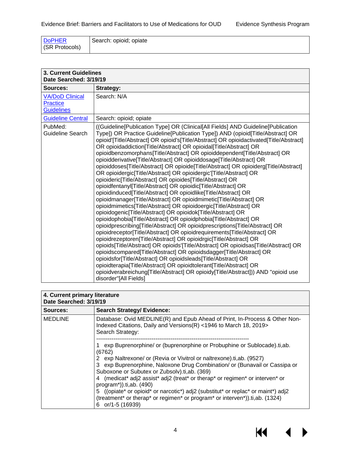| <b>DoPHER</b>  | Search: opioid; opiate |
|----------------|------------------------|
| (SR Protocols) |                        |

| <b>3. Current Guidelines</b><br>Date Searched: 3/19/19         |                                                                                                                                                                                                                                                                                                                                                                                                                                                                                                                                                                                                                                                                                                                                                                                                                                                                                                                                                                                                                                                                                                                                                                                                                                                                                                                                                                                                                                                                                                                                                                                                                                                                                                                                                                                   |  |
|----------------------------------------------------------------|-----------------------------------------------------------------------------------------------------------------------------------------------------------------------------------------------------------------------------------------------------------------------------------------------------------------------------------------------------------------------------------------------------------------------------------------------------------------------------------------------------------------------------------------------------------------------------------------------------------------------------------------------------------------------------------------------------------------------------------------------------------------------------------------------------------------------------------------------------------------------------------------------------------------------------------------------------------------------------------------------------------------------------------------------------------------------------------------------------------------------------------------------------------------------------------------------------------------------------------------------------------------------------------------------------------------------------------------------------------------------------------------------------------------------------------------------------------------------------------------------------------------------------------------------------------------------------------------------------------------------------------------------------------------------------------------------------------------------------------------------------------------------------------|--|
| Sources:                                                       | <b>Strategy:</b>                                                                                                                                                                                                                                                                                                                                                                                                                                                                                                                                                                                                                                                                                                                                                                                                                                                                                                                                                                                                                                                                                                                                                                                                                                                                                                                                                                                                                                                                                                                                                                                                                                                                                                                                                                  |  |
| <b>VA/DoD Clinical</b><br><b>Practice</b><br><b>Guidelines</b> | Search: N/A                                                                                                                                                                                                                                                                                                                                                                                                                                                                                                                                                                                                                                                                                                                                                                                                                                                                                                                                                                                                                                                                                                                                                                                                                                                                                                                                                                                                                                                                                                                                                                                                                                                                                                                                                                       |  |
| <b>Guideline Central</b>                                       | Search: opioid; opiate                                                                                                                                                                                                                                                                                                                                                                                                                                                                                                                                                                                                                                                                                                                                                                                                                                                                                                                                                                                                                                                                                                                                                                                                                                                                                                                                                                                                                                                                                                                                                                                                                                                                                                                                                            |  |
| PubMed:<br>Guideline Search                                    | ((Guideline[Publication Type] OR (Clinical[All Fields] AND Guideline[Publication<br>Type]) OR Practice Guideline[Publication Type]) AND (opioid[Title/Abstract] OR<br>opioid'[Title/Abstract] OR opioid's[Title/Abstract] OR opioidactivated[Title/Abstract]<br>OR opioidaddiction[Title/Abstract] OR opioidal[Title/Abstract] OR<br>opioidbenzomorphans[Title/Abstract] OR opioiddependent[Title/Abstract] OR<br>opioidderivative[Title/Abstract] OR opioiddosage[Title/Abstract] OR<br>opioiddoses[Title/Abstract] OR opioide[Title/Abstract] OR opioiderg[Title/Abstract]<br>OR opioidergic[Title/Abstract] OR opioidergic'[Title/Abstract] OR<br>opioideric[Title/Abstract] OR opioides[Title/Abstract] OR<br>opioidfentanyl[Title/Abstract] OR opioidic[Title/Abstract] OR<br>opioidinduced[Title/Abstract] OR opioidlike[Title/Abstract] OR<br>opioidmanager[Title/Abstract] OR opioidmimetic[Title/Abstract] OR<br>opioidmimetics[Title/Abstract] OR opioidoergic[Title/Abstract] OR<br>opioidogenic[Title/Abstract] OR opioidok[Title/Abstract] OR<br>opioidophobia[Title/Abstract] OR opioidphobia[Title/Abstract] OR<br>opioidprescribing[Title/Abstract] OR opioidprescriptions[Title/Abstract] OR<br>opioidreceptor[Title/Abstract] OR opioidrequirements[Title/Abstract] OR<br>opioidrezeptoren[Title/Abstract] OR opioidrgic[Title/Abstract] OR<br>opioids[Title/Abstract] OR opioids'[Title/Abstract] OR opioidsas[Title/Abstract] OR<br>opioidscompared [Title/Abstract] OR opioidsdagger [Title/Abstract] OR<br>opioidsfor[Title/Abstract] OR opioidsleads[Title/Abstract] OR<br>opioidterapia[Title/Abstract] OR opioidtolerant[Title/Abstract] OR<br>opioidverabreichung[Title/Abstract] OR opioidy[Title/Abstract])) AND "opioid use<br>disorder"[All Fields] |  |

| 4. Current primary literature<br>Date Searched: 3/19/19 |                                                                                                                                                                                                                                                                                                                                                                                                                                                                                                                                                                                                   |  |
|---------------------------------------------------------|---------------------------------------------------------------------------------------------------------------------------------------------------------------------------------------------------------------------------------------------------------------------------------------------------------------------------------------------------------------------------------------------------------------------------------------------------------------------------------------------------------------------------------------------------------------------------------------------------|--|
| Sources:                                                | <b>Search Strategy/ Evidence:</b>                                                                                                                                                                                                                                                                                                                                                                                                                                                                                                                                                                 |  |
| <b>MEDLINE</b>                                          | Database: Ovid MEDLINE(R) and Epub Ahead of Print, In-Process & Other Non-<br>Indexed Citations, Daily and Versions(R) <1946 to March 18, 2019><br>Search Strategy:                                                                                                                                                                                                                                                                                                                                                                                                                               |  |
|                                                         | exp Buprenorphine/ or (buprenorphine or Probuphine or Sublocade).ti,ab.<br>(6762)<br>2 exp Naltrexone/ or (Revia or Vivitrol or naltrexone).ti, ab. (9527)<br>3 exp Buprenorphine, Naloxone Drug Combination/ or (Bunavail or Cassipa or<br>Suboxone or Subutex or Zubsolv).ti, ab. (369)<br>4 (medicat* adj2 assist* adj2 (treat* or therap* or regimen* or interven* or<br>$program*)$ ).ti,ab. (490)<br>5 ((opiate* or opioid* or narcotic*) adj2 (substitut* or replac* or maint*) adj2<br>(treatment* or therap* or regimen* or program* or interven*)).ti,ab. (1324)<br>or/1-5 (16939)<br>6 |  |

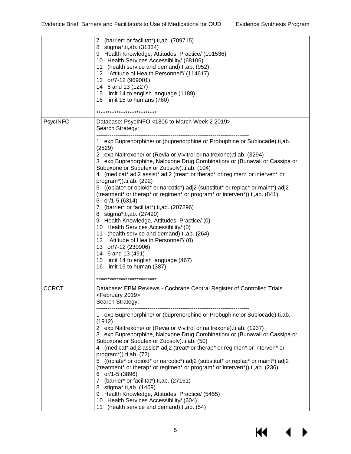|          | $\overline{7}$<br>(barrier* or facilitat*).ti,ab. (709715)<br>8 stigma*.ti,ab. (31334)<br>9 Health Knowledge, Attitudes, Practice/ (101536)<br>10 Health Services Accessibility/ (68106)<br>11 (health service and demand).ti, ab. (952)<br>12 "Attitude of Health Personnel"/ (114617)<br>13 or/7-12 (969001)<br>14 6 and 13 (1227)<br>15 limit 14 to english language (1189)<br>16 limit 15 to humans (760)<br>***************************                                                                                                                                                                                                                                                                                                                                                                                                                                                                                                                              |
|----------|---------------------------------------------------------------------------------------------------------------------------------------------------------------------------------------------------------------------------------------------------------------------------------------------------------------------------------------------------------------------------------------------------------------------------------------------------------------------------------------------------------------------------------------------------------------------------------------------------------------------------------------------------------------------------------------------------------------------------------------------------------------------------------------------------------------------------------------------------------------------------------------------------------------------------------------------------------------------------|
| PsycINFO | Database: PsycINFO <1806 to March Week 2 2019><br>Search Strategy:                                                                                                                                                                                                                                                                                                                                                                                                                                                                                                                                                                                                                                                                                                                                                                                                                                                                                                        |
|          | 1 exp Buprenorphine/ or (buprenorphine or Probuphine or Sublocade).ti,ab.<br>(2529)<br>2 exp Naltrexone/ or (Revia or Vivitrol or naltrexone).ti,ab. (3294)<br>3 exp Buprenorphine, Naloxone Drug Combination/ or (Bunavail or Cassipa or<br>Suboxone or Subutex or Zubsolv).ti,ab. (104)<br>4 (medicat* adj2 assist* adj2 (treat* or therap* or regimen* or interven* or<br>program*)).ti,ab. (292)<br>5 ((opiate* or opioid* or narcotic*) adj2 (substitut* or replac* or maint*) adj2<br>(treatment* or therap* or regimen* or program* or interven*)).ti,ab. (841)<br>6 $or/1-5(6314)$<br>7 (barrier* or facilitat*).ti,ab. (207296)<br>8 stigma*.ti,ab. (27490)<br>9 Health Knowledge, Attitudes, Practice/ (0)<br>10 Health Services Accessibility/ (0)<br>11 (health service and demand).ti, ab. (264)<br>12 "Attitude of Health Personnel"/(0)<br>13 or/7-12 (230906)<br>14 6 and 13 (491)<br>15 limit 14 to english language (467)<br>16 limit 15 to human (387) |
|          | ***************************                                                                                                                                                                                                                                                                                                                                                                                                                                                                                                                                                                                                                                                                                                                                                                                                                                                                                                                                               |
| CCRCT    | Database: EBM Reviews - Cochrane Central Register of Controlled Trials<br><february 2019=""><br/>Search Strategy:</february>                                                                                                                                                                                                                                                                                                                                                                                                                                                                                                                                                                                                                                                                                                                                                                                                                                              |
|          | 1 exp Buprenorphine/ or (buprenorphine or Probuphine or Sublocade).ti,ab.<br>(1912)<br>2 exp Naltrexone/ or (Revia or Vivitrol or naltrexone).ti, ab. (1937)<br>3 exp Buprenorphine, Naloxone Drug Combination/ or (Bunavail or Cassipa or<br>Suboxone or Subutex or Zubsolv).ti,ab. (50)<br>4 (medicat* adj2 assist* adj2 (treat* or therap* or regimen* or interven* or<br>$program*)$ ).ti,ab. $(72)$<br>5 ((opiate* or opioid* or narcotic*) adj2 (substitut* or replac* or maint*) adj2<br>(treatment* or therap* or regimen* or program* or interven*)).ti,ab. (236)<br>6 or/1-5 (3896)<br>7 (barrier* or facilitat*).ti, ab. (27161)<br>8 stigma*.ti,ab. (1469)<br>9 Health Knowledge, Attitudes, Practice/ (5455)<br>10 Health Services Accessibility/ (604)<br>(health service and demand).ti,ab. (54)<br>11                                                                                                                                                     |



KI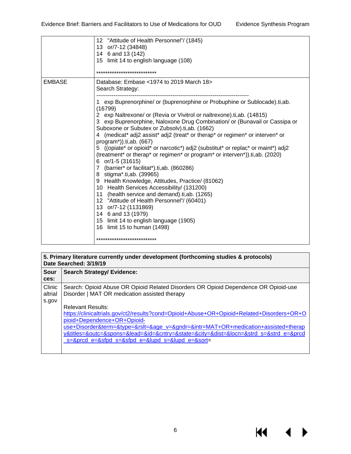**KK** 

▶

|               | 12 "Attitude of Health Personnel"/ (1845)<br>13 or/7-12 (34848)<br>14 6 and 13 (142)<br>15 limit 14 to english language (108)<br>***************************                                                                                                                                                                                                                                                                                                                                                                                                                                                                                                                                                                                                                                                                                                                                                                                                                                                                                                                                         |
|---------------|------------------------------------------------------------------------------------------------------------------------------------------------------------------------------------------------------------------------------------------------------------------------------------------------------------------------------------------------------------------------------------------------------------------------------------------------------------------------------------------------------------------------------------------------------------------------------------------------------------------------------------------------------------------------------------------------------------------------------------------------------------------------------------------------------------------------------------------------------------------------------------------------------------------------------------------------------------------------------------------------------------------------------------------------------------------------------------------------------|
| <b>EMBASE</b> | Database: Embase <1974 to 2019 March 18><br>Search Strategy:<br>1 exp Buprenorphine/ or (buprenorphine or Probuphine or Sublocade).ti,ab.<br>(16799)<br>2 exp Naltrexone/ or (Revia or Vivitrol or naltrexone).ti, ab. (14815)<br>3 exp Buprenorphine, Naloxone Drug Combination/ or (Bunavail or Cassipa or<br>Suboxone or Subutex or Zubsolv).ti, ab. (1662)<br>4 (medicat* adj2 assist* adj2 (treat* or therap* or regimen* or interven* or<br>$program*)$ ).ti,ab. (667)<br>5 ((opiate* or opioid* or narcotic*) adj2 (substitut* or replac* or maint*) adj2<br>(treatment* or therap* or regimen* or program* or interven*)).ti,ab. (2020)<br>6 or/1-5 (31615)<br>7 (barrier* or facilitat*).ti,ab. (860286)<br>8 stigma*.ti,ab. (39965)<br>9 Health Knowledge, Attitudes, Practice/ (81062)<br>10 Health Services Accessibility/ (131200)<br>11 (health service and demand).ti, ab. (1265)<br>12 "Attitude of Health Personnel"/ (60401)<br>13 or/7-12 (1131869)<br>14 6 and 13 (1979)<br>15 limit 14 to english language (1905)<br>16 limit 15 to human (1498)<br>*************************** |

| 5. Primary literature currently under development (forthcoming studies & protocols)<br>Date Searched: 3/19/19 |                                                                                                                                      |  |
|---------------------------------------------------------------------------------------------------------------|--------------------------------------------------------------------------------------------------------------------------------------|--|
| Sour                                                                                                          | <b>Search Strategy/ Evidence:</b>                                                                                                    |  |
| ces:                                                                                                          |                                                                                                                                      |  |
| Clinic<br>altrial                                                                                             | Search: Opioid Abuse OR Opioid Related Disorders OR Opioid Dependence OR Opioid-use<br>Disorder   MAT OR medication assisted therapy |  |
| s.gov                                                                                                         |                                                                                                                                      |  |
|                                                                                                               | <b>Relevant Results:</b>                                                                                                             |  |
|                                                                                                               | https://clinicaltrials.gov/ct2/results?cond=Opioid+Abuse+OR+Opioid+Related+Disorders+OR+O                                            |  |
|                                                                                                               | pioid+Dependence+OR+Opioid-                                                                                                          |  |
|                                                                                                               | use+Disorder&term=&type=&rslt=&age_v=&gndr=&intr=MAT+OR+medication+assisted+therap                                                   |  |
|                                                                                                               | y&titles=&outc=&spons=&lead=&id=&cntry=&state=&city=&dist=&locn=&strd_s=&strd_e=&prcd                                                |  |
|                                                                                                               | $s = 8$ prcd $e = 8$ sfpd $s = 8$ sfpd $e = 8$ lupd $s = 8$ lupd $e = 8$ sort                                                        |  |
|                                                                                                               |                                                                                                                                      |  |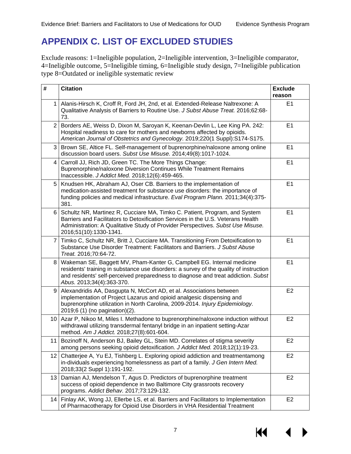# <span id="page-8-0"></span>**APPENDIX C. LIST OF EXCLUDED STUDIES**

Exclude reasons: 1=Ineligible population, 2=Ineligible intervention, 3=Ineligible comparator, 4=Ineligible outcome, 5=Ineligible timing, 6=Ineligible study design, 7=Ineligible publication type 8=Outdated or ineligible systematic review

| #               | <b>Citation</b>                                                                                                                                                                                                                                                                   | <b>Exclude</b><br>reason |
|-----------------|-----------------------------------------------------------------------------------------------------------------------------------------------------------------------------------------------------------------------------------------------------------------------------------|--------------------------|
| $\mathbf 1$     | Alanis-Hirsch K, Croff R, Ford JH, 2nd, et al. Extended-Release Naltrexone: A<br>Qualitative Analysis of Barriers to Routine Use. J Subst Abuse Treat. 2016;62:68-<br>73.                                                                                                         | E <sub>1</sub>           |
| $\overline{2}$  | Borders AE, Weiss D, Dixon M, Saroyan K, Keenan-Devlin L, Lee King PA. 242:<br>Hospital readiness to care for mothers and newborns affected by opioids.<br>American Journal of Obstetrics and Gynecology. 2019;220(1 Suppl):S174-S175.                                            | E1                       |
| 3               | Brown SE, Altice FL. Self-management of buprenorphine/naloxone among online<br>discussion board users. Subst Use Misuse. 2014;49(8):1017-1024.                                                                                                                                    | E <sub>1</sub>           |
| 4               | Carroll JJ, Rich JD, Green TC. The More Things Change:<br>Buprenorphine/naloxone Diversion Continues While Treatment Remains<br>Inaccessible. J Addict Med. 2018;12(6):459-465.                                                                                                   | E <sub>1</sub>           |
| 5               | Knudsen HK, Abraham AJ, Oser CB. Barriers to the implementation of<br>medication-assisted treatment for substance use disorders: the importance of<br>funding policies and medical infrastructure. Eval Program Plann. 2011;34(4):375-<br>381.                                    | E <sub>1</sub>           |
| 6               | Schultz NR, Martinez R, Cucciare MA, Timko C. Patient, Program, and System<br>Barriers and Facilitators to Detoxification Services in the U.S. Veterans Health<br>Administration: A Qualitative Study of Provider Perspectives. Subst Use Misuse.<br>2016;51(10):1330-1341.       | E1                       |
| 7               | Timko C, Schultz NR, Britt J, Cucciare MA. Transitioning From Detoxification to<br>Substance Use Disorder Treatment: Facilitators and Barriers. J Subst Abuse<br>Treat. 2016;70:64-72.                                                                                            | E <sub>1</sub>           |
| 8               | Wakeman SE, Baggett MV, Pham-Kanter G, Campbell EG. Internal medicine<br>residents' training in substance use disorders: a survey of the quality of instruction<br>and residents' self-perceived preparedness to diagnose and treat addiction. Subst<br>Abus. 2013;34(4):363-370. | E <sub>1</sub>           |
| 9               | Alexandridis AA, Dasgupta N, McCort AD, et al. Associations between<br>implementation of Project Lazarus and opioid analgesic dispensing and<br>buprenorphine utilization in North Carolina, 2009-2014. Injury Epidemiology.<br>2019;6 (1) (no pagination)(2).                    | E <sub>2</sub>           |
| 10 <sup>1</sup> | Azar P, Nikoo M, Miles I. Methadone to buprenorphine/naloxone induction without<br>withdrawal utilizing transdermal fentanyl bridge in an inpatient setting-Azar<br>method. Am J Addict. 2018;27(8):601-604.                                                                      | E <sub>2</sub>           |
|                 | 11   Bozinoff N, Anderson BJ, Bailey GL, Stein MD. Correlates of stigma severity<br>among persons seeking opioid detoxification. J Addict Med. 2018;12(1):19-23.                                                                                                                  | E <sub>2</sub>           |
| 12 <sup>°</sup> | Chatterjee A, Yu EJ, Tishberg L. Exploring opioid addiction and treatmentamong<br>in-dividuals experiencing homelessness as part of a family. J Gen Intern Med.<br>2018;33(2 Suppl 1):191-192.                                                                                    | E <sub>2</sub>           |
| 13              | Damian AJ, Mendelson T, Agus D. Predictors of buprenorphine treatment<br>success of opioid dependence in two Baltimore City grassroots recovery<br>programs. Addict Behav. 2017;73:129-132.                                                                                       | E <sub>2</sub>           |
| 14              | Finlay AK, Wong JJ, Ellerbe LS, et al. Barriers and Facilitators to Implementation<br>of Pharmacotherapy for Opioid Use Disorders in VHA Residential Treatment                                                                                                                    | E <sub>2</sub>           |

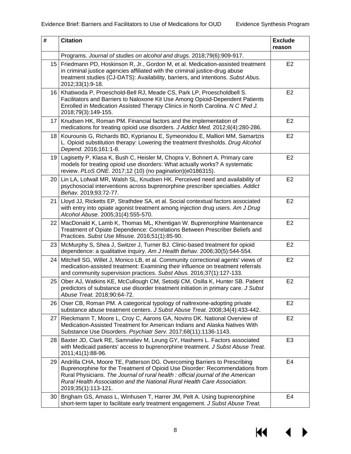| $\#$            | <b>Citation</b>                                                                                                                                                                                                                                                                                                                                | <b>Exclude</b><br>reason |
|-----------------|------------------------------------------------------------------------------------------------------------------------------------------------------------------------------------------------------------------------------------------------------------------------------------------------------------------------------------------------|--------------------------|
|                 | Programs. Journal of studies on alcohol and drugs. 2018;79(6):909-917.                                                                                                                                                                                                                                                                         |                          |
| 15 <sup>1</sup> | Friedmann PD, Hoskinson R, Jr., Gordon M, et al. Medication-assisted treatment<br>in criminal justice agencies affiliated with the criminal justice-drug abuse<br>treatment studies (CJ-DATS): Availability, barriers, and intentions. Subst Abus.<br>2012;33(1):9-18.                                                                         | E <sub>2</sub>           |
| 16              | Khatiwoda P, Proeschold-Bell RJ, Meade CS, Park LP, Proescholdbell S.<br>Facilitators and Barriers to Naloxone Kit Use Among Opioid-Dependent Patients<br>Enrolled in Medication Assisted Therapy Clinics in North Carolina. N C Med J.<br>2018;79(3):149-155.                                                                                 | E <sub>2</sub>           |
| 17              | Knudsen HK, Roman PM. Financial factors and the implementation of<br>medications for treating opioid use disorders. J Addict Med. 2012;6(4):280-286.                                                                                                                                                                                           | E <sub>2</sub>           |
| 18 <sup>1</sup> | Kourounis G, Richards BD, Kyprianou E, Symeonidou E, Malliori MM, Samartzis<br>L. Opioid substitution therapy: Lowering the treatment thresholds. Drug Alcohol<br>Depend. 2016;161:1-8.                                                                                                                                                        | E <sub>2</sub>           |
| 19 <sub>l</sub> | Lagisetty P, Klasa K, Bush C, Heisler M, Chopra V, Bohnert A. Primary care<br>models for treating opioid use disorders: What actually works? A systematic<br>review. PLoS ONE. 2017;12 (10) (no pagination)(e0186315).                                                                                                                         | E <sub>2</sub>           |
| 20 <sub>1</sub> | Lin LA, Lofwall MR, Walsh SL, Knudsen HK. Perceived need and availability of<br>psychosocial interventions across buprenorphine prescriber specialties. Addict<br>Behav. 2019;93:72-77.                                                                                                                                                        | E <sub>2</sub>           |
| 21              | Lloyd JJ, Ricketts EP, Strathdee SA, et al. Social contextual factors associated<br>with entry into opiate agonist treatment among injection drug users. Am J Drug<br>Alcohol Abuse. 2005;31(4):555-570.                                                                                                                                       | E <sub>2</sub>           |
| 22              | MacDonald K, Lamb K, Thomas ML, Khentigan W. Buprenorphine Maintenance<br>Treatment of Opiate Dependence: Correlations Between Prescriber Beliefs and<br>Practices. Subst Use Misuse. 2016;51(1):85-90.                                                                                                                                        | E <sub>2</sub>           |
| 23              | McMurphy S, Shea J, Switzer J, Turner BJ. Clinic-based treatment for opioid<br>dependence: a qualitative inquiry. Am J Health Behav. 2006;30(5):544-554.                                                                                                                                                                                       | E <sub>2</sub>           |
| 24              | Mitchell SG, Willet J, Monico LB, et al. Community correctional agents' views of<br>medication-assisted treatment: Examining their influence on treatment referrals<br>and community supervision practices. Subst Abus. 2016;37(1):127-133.                                                                                                    | E <sub>2</sub>           |
| 25              | Ober AJ, Watkins KE, McCullough CM, Setodji CM, Osilla K, Hunter SB. Patient<br>predictors of substance use disorder treatment initiation in primary care. J Subst<br>Abuse Treat. 2018;90:64-72.                                                                                                                                              | E <sub>2</sub>           |
| 26 <sub>1</sub> | Oser CB, Roman PM. A categorical typology of naltrexone-adopting private<br>substance abuse treatment centers. J Subst Abuse Treat. 2008;34(4):433-442.                                                                                                                                                                                        | E <sub>2</sub>           |
| 27              | Rieckmann T, Moore L, Croy C, Aarons GA, Novins DK. National Overview of<br>Medication-Assisted Treatment for American Indians and Alaska Natives With<br>Substance Use Disorders. Psychiatr Serv. 2017;68(11):1136-1143.                                                                                                                      | E <sub>2</sub>           |
| 28              | Baxter JD, Clark RE, Samnaliev M, Leung GY, Hashemi L. Factors associated<br>with Medicaid patients' access to buprenorphine treatment. J Subst Abuse Treat.<br>2011;41(1):88-96.                                                                                                                                                              | E <sub>3</sub>           |
| 29              | Andrilla CHA, Moore TE, Patterson DG. Overcoming Barriers to Prescribing<br>Buprenorphine for the Treatment of Opioid Use Disorder: Recommendations from<br>Rural Physicians. The Journal of rural health: official journal of the American<br>Rural Health Association and the National Rural Health Care Association.<br>2019;35(1):113-121. | E4                       |
| 30 <sub>1</sub> | Brigham GS, Amass L, Winhusen T, Harrer JM, Pelt A. Using buprenorphine<br>short-term taper to facilitate early treatment engagement. J Subst Abuse Treat.                                                                                                                                                                                     | E <sub>4</sub>           |

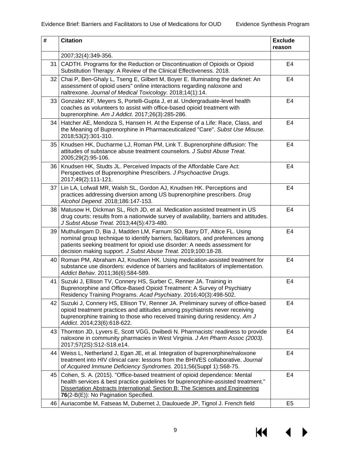| #               | <b>Citation</b>                                                                                                                                                                                                                                                                                            | <b>Exclude</b><br>reason |
|-----------------|------------------------------------------------------------------------------------------------------------------------------------------------------------------------------------------------------------------------------------------------------------------------------------------------------------|--------------------------|
|                 | 2007;32(4):349-356.                                                                                                                                                                                                                                                                                        |                          |
| 31              | CADTH. Programs for the Reduction or Discontinuation of Opioids or Opioid<br>Substitution Therapy: A Review of the Clinical Effectiveness. 2018.                                                                                                                                                           | E <sub>4</sub>           |
| 32              | Chai P, Ben-Ghaly L, Tseng E, Gilbert M, Boyer E. Illuminating the darknet: An<br>assessment of opioid users" online interactions regarding naloxone and<br>naltrexone. Journal of Medical Toxicology. 2018;14(1):14.                                                                                      | E4                       |
| 33              | Gonzalez KF, Meyers S, Portelli-Gupta J, et al. Undergraduate-level health<br>coaches as volunteers to assist with office-based opioid treatment with<br>buprenorphine. Am J Addict. 2017;26(3):285-286.                                                                                                   | E4                       |
| 34              | Hatcher AE, Mendoza S, Hansen H. At the Expense of a Life: Race, Class, and<br>the Meaning of Buprenorphine in Pharmaceuticalized "Care". Subst Use Misuse.<br>2018;53(2):301-310.                                                                                                                         | E <sub>4</sub>           |
| 35 <sup>1</sup> | Knudsen HK, Ducharme LJ, Roman PM, Link T. Buprenorphine diffusion: The<br>attitudes of substance abuse treatment counselors. J Subst Abuse Treat.<br>2005;29(2):95-106.                                                                                                                                   | E4                       |
| 36 <sub>1</sub> | Knudsen HK, Studts JL. Perceived Impacts of the Affordable Care Act:<br>Perspectives of Buprenorphine Prescribers. J Psychoactive Drugs.<br>2017;49(2):111-121.                                                                                                                                            | E <sub>4</sub>           |
| 37 I            | Lin LA, Lofwall MR, Walsh SL, Gordon AJ, Knudsen HK. Perceptions and<br>practices addressing diversion among US buprenorphine prescribers. Drug<br>Alcohol Depend. 2018;186:147-153.                                                                                                                       | E <sub>4</sub>           |
| 38              | Matusow H, Dickman SL, Rich JD, et al. Medication assisted treatment in US<br>drug courts: results from a nationwide survey of availability, barriers and attitudes.<br>J Subst Abuse Treat. 2013;44(5):473-480.                                                                                           | E <sub>4</sub>           |
| 39              | Muthulingam D, Bia J, Madden LM, Farnum SO, Barry DT, Altice FL. Using<br>nominal group technique to identify barriers, facilitators, and preferences among<br>patients seeking treatment for opioid use disorder: A needs assessment for<br>decision making support. J Subst Abuse Treat. 2019;100:18-28. | E4                       |
| 40              | Roman PM, Abraham AJ, Knudsen HK. Using medication-assisted treatment for<br>substance use disorders: evidence of barriers and facilitators of implementation.<br>Addict Behav. 2011;36(6):584-589.                                                                                                        | E4                       |
| 41              | Suzuki J, Ellison TV, Connery HS, Surber C, Renner JA. Training in<br>Buprenorphine and Office-Based Opioid Treatment: A Survey of Psychiatry<br>Residency Training Programs. Acad Psychiatry. 2016;40(3):498-502.                                                                                         | E <sub>4</sub>           |
| 42              | Suzuki J, Connery HS, Ellison TV, Renner JA. Preliminary survey of office-based<br>opioid treatment practices and attitudes among psychiatrists never receiving<br>buprenorphine training to those who received training during residency. Am J<br>Addict. 2014;23(6):618-622.                             | E4                       |
| 43              | Thornton JD, Lyvers E, Scott VGG, Dwibedi N. Pharmacists' readiness to provide<br>naloxone in community pharmacies in West Virginia. J Am Pharm Assoc (2003).<br>2017;57(2S):S12-S18.e14.                                                                                                                  | E4                       |
| 44              | Weiss L, Netherland J, Egan JE, et al. Integration of buprenorphine/naloxone<br>treatment into HIV clinical care: lessons from the BHIVES collaborative. Journal<br>of Acquired Immune Deficiency Syndromes. 2011;56(Suppl 1):S68-75.                                                                      | E4                       |
| 45              | Cohen, S. A. (2015). "Office-based treatment of opioid dependence: Mental<br>health services & best practice guidelines for buprenorphine-assisted treatment."<br>Dissertation Abstracts International: Section B: The Sciences and Engineering<br>76(2-B(E)): No Pagination Specified.                    | E4                       |
| 46              | Auriacombe M, Fatseas M, Dubernet J, Daulouede JP, Tignol J. French field                                                                                                                                                                                                                                  | E <sub>5</sub>           |

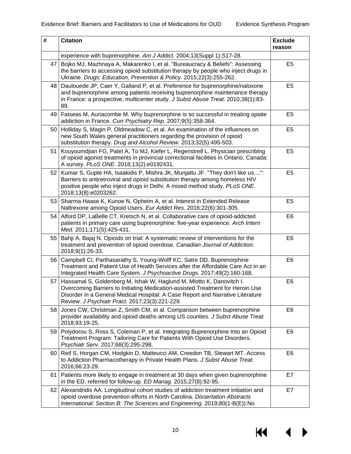| $\#$            | <b>Citation</b>                                                                                                                                                                                                                                                                            | <b>Exclude</b><br>reason |
|-----------------|--------------------------------------------------------------------------------------------------------------------------------------------------------------------------------------------------------------------------------------------------------------------------------------------|--------------------------|
|                 | experience with buprenorphine. Am J Addict. 2004;13(Suppl 1):S17-28.                                                                                                                                                                                                                       |                          |
| 47              | Bojko MJ, Mazhnaya A, Makarenko I, et al. "Bureaucracy & Beliefs": Assessing<br>the barriers to accessing opioid substitution therapy by people who inject drugs in<br>Ukraine. Drugs: Education, Prevention & Policy. 2015;22(3):255-262.                                                 | E <sub>5</sub>           |
| 48              | Daulouede JP, Caer Y, Galland P, et al. Preference for buprenorphine/naloxone<br>and buprenorphine among patients receiving buprenorphine maintenance therapy<br>in France: a prospective, multicenter study. J Subst Abuse Treat. 2010;38(1):83-<br>89.                                   | E <sub>5</sub>           |
| 49              | Fatseas M, Auriacombe M. Why buprenorphine is so successful in treating opiate<br>addiction in France. Curr Psychiatry Rep. 2007;9(5):358-364.                                                                                                                                             | E <sub>5</sub>           |
| 50 <sub>1</sub> | Holliday S, Magin P, Oldmeadow C, et al. An examination of the influences on<br>new South Wales general practitioners regarding the provision of opioid<br>substitution therapy. Drug and Alcohol Review. 2013;32(5):495-503.                                                              | E <sub>5</sub>           |
| 51              | Kouyoumdjian FG, Patel A, To MJ, Kiefer L, Regenstreif L. Physician prescribing<br>of opioid agonist treatments in provincial correctional facilities in Ontario, Canada:<br>A survey. PLoS ONE. 2018;13(2):e0192431.                                                                      | E <sub>5</sub>           |
| 52              | Kumar S, Gupte HA, Isaakidis P, Mishra JK, Munjattu JF. "They don't like us":<br>Barriers to antiretroviral and opioid substitution therapy among homeless HIV<br>positive people who inject drugs in Delhi: A mixed method study. PLoS ONE.<br>2018;13(8):e0203262.                       | E <sub>5</sub>           |
| 53              | Sharma Haase K, Kunoe N, Opheim A, et al. Interest in Extended Release<br>Naltrexone among Opioid Users. Eur Addict Res. 2016;22(6):301-305.                                                                                                                                               | E <sub>5</sub>           |
| 54              | Alford DP, LaBelle CT, Kretsch N, et al. Collaborative care of opioid-addicted<br>patients in primary care using buprenorphine: five-year experience. Arch Intern<br>Med. 2011;171(5):425-431.                                                                                             | E <sub>6</sub>           |
| 55              | Bahji A, Bajaj N. Opioids on trial: A systematic review of interventions for the<br>treatment and prevention of opioid overdose. Canadian Journal of Addiction.<br>2018;9(1):26-33.                                                                                                        | E <sub>6</sub>           |
| 56 <sub>1</sub> | Campbell CI, Parthasarathy S, Young-Wolff KC, Satre DD. Buprenorphine<br>Treatment and Patient Use of Health Services after the Affordable Care Act in an<br>Integrated Health Care System. J Psychoactive Drugs. 2017;49(2):160-168.                                                      | E <sub>6</sub>           |
| 57              | Hassamal S, Goldenberg M, Ishak W, Haglund M, Miotto K, Danovitch I.<br>Overcoming Barriers to Initiating Medication-assisted Treatment for Heroin Use<br>Disorder in a General Medical Hospital: A Case Report and Narrative Literature<br>Review. J Psychiatr Pract. 2017;23(3):221-229. | E <sub>6</sub>           |
| 58              | Jones CW, Christman Z, Smith CM, et al. Comparison between buprenorphine<br>provider availability and opioid deaths among US counties. J Subst Abuse Treat.<br>2018;93:19-25.                                                                                                              | E <sub>6</sub>           |
| 59              | Polydorou S, Ross S, Coleman P, et al. Integrating Buprenorphine Into an Opioid<br>Treatment Program: Tailoring Care for Patients With Opioid Use Disorders.<br>Psychiatr Serv. 2017;68(3):295-298.                                                                                        | E <sub>6</sub>           |
| 60 l            | Reif S, Horgan CM, Hodgkin D, Matteucci AM, Creedon TB, Stewart MT. Access<br>to Addiction Pharmacotherapy in Private Health Plans. J Subst Abuse Treat.<br>2016;66:23-29.                                                                                                                 | E <sub>6</sub>           |
| 61              | Patients more likely to engage in treatment at 30 days when given buprenorphine<br>in the ED, referred for follow-up. ED Manag. 2015;27(8):92-95.                                                                                                                                          | E7                       |
| 62              | Alexandridis AA. Longitudinal cohort studies of addiction treatment initiation and<br>opioid overdose prevention efforts in North Carolina. Dissertation Abstracts<br>International: Section B: The Sciences and Engineering. 2019;80(1-B(E)):No                                           | E7                       |

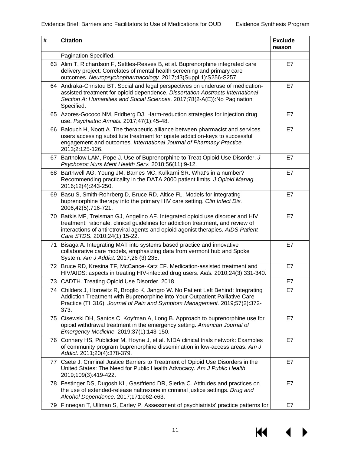| #    | <b>Citation</b>                                                                                                                                                                                                                                                                     | <b>Exclude</b><br>reason |
|------|-------------------------------------------------------------------------------------------------------------------------------------------------------------------------------------------------------------------------------------------------------------------------------------|--------------------------|
|      | Pagination Specified.                                                                                                                                                                                                                                                               |                          |
|      | 63   Alim T, Richardson F, Settles-Reaves B, et al. Buprenorphine integrated care<br>delivery project: Correlates of mental health screening and primary care<br>outcomes. Neuropsychopharmacology. 2017;43(Suppl 1):S256-S257.                                                     | E7                       |
| 64   | Andraka-Christou BT. Social and legal perspectives on underuse of medication-<br>assisted treatment for opioid dependence. Dissertation Abstracts International<br>Section A: Humanities and Social Sciences. 2017;78(2-A(E)):No Pagination<br>Specified.                           | E7                       |
|      | 65   Azores-Gococo NM, Fridberg DJ. Harm-reduction strategies for injection drug<br>use. Psychiatric Annals. 2017;47(1):45-48.                                                                                                                                                      | E7                       |
| 66   | Balouch H, Noott A. The therapeutic alliance between pharmacist and services<br>users accessing substitute treatment for opiate addiction-keys to successful<br>engagement and outcomes. International Journal of Pharmacy Practice.<br>2013;2:125-126.                             | E7                       |
| 67 I | Bartholow LAM, Pope J. Use of Buprenorphine to Treat Opioid Use Disorder. J<br>Psychosoc Nurs Ment Health Serv. 2018;56(11):9-12.                                                                                                                                                   | E7                       |
| 68   | Barthwell AG, Young JM, Barnes MC, Kulkarni SR. What's in a number?<br>Recommending practicality in the DATA 2000 patient limits. J Opioid Manag.<br>2016;12(4):243-250.                                                                                                            | E7                       |
| 69 I | Basu S, Smith-Rohrberg D, Bruce RD, Altice FL. Models for integrating<br>buprenorphine therapy into the primary HIV care setting. Clin Infect Dis.<br>2006;42(5):716-721.                                                                                                           | E7                       |
| 70 l | Batkis MF, Treisman GJ, Angelino AF. Integrated opioid use disorder and HIV<br>treatment: rationale, clinical guidelines for addiction treatment, and review of<br>interactions of antiretroviral agents and opioid agonist therapies. AIDS Patient<br>Care STDS. 2010;24(1):15-22. | E7                       |
| 71   | Bisaga A. Integrating MAT into systems based practice and innovative<br>collaborative care models, emphasizing data from vermont hub and Spoke<br>System. Am J Addict. 2017;26 (3):235.                                                                                             | E7                       |
| 72 I | Bruce RD, Kresina TF, McCance-Katz EF. Medication-assisted treatment and<br>HIV/AIDS: aspects in treating HIV-infected drug users. Aids. 2010;24(3):331-340.                                                                                                                        | E7                       |
|      | 73 CADTH. Treating Opioid Use Disorder. 2018.                                                                                                                                                                                                                                       | E7                       |
| 74   | Childers J, Horowitz R, Broglio K, Jangro W. No Patient Left Behind: Integrating<br>Addiction Treatment with Buprenorphine into Your Outpatient Palliative Care<br>Practice (TH316). Journal of Pain and Symptom Management. 2019;57(2):372-<br>373.                                | E7                       |
| 75   | Cisewski DH, Santos C, Koyfman A, Long B. Approach to buprenorphine use for<br>opioid withdrawal treatment in the emergency setting. American Journal of<br>Emergency Medicine. 2019;37(1):143-150.                                                                                 | E7                       |
| 76   | Connery HS, Publicker M, Hoyne J, et al. NIDA clinical trials network: Examples<br>of community program buprenorphine dissemination in low-access areas. Am J<br>Addict. 2011;20(4):378-379.                                                                                        | E7                       |
| 77   | Csete J. Criminal Justice Barriers to Treatment of Opioid Use Disorders in the<br>United States: The Need for Public Health Advocacy. Am J Public Health.<br>2019;109(3):419-422.                                                                                                   | E7                       |
| 78 I | Festinger DS, Dugosh KL, Gastfriend DR, Sierka C. Attitudes and practices on<br>the use of extended-release naltrexone in criminal justice settings. Drug and<br>Alcohol Dependence. 2017;171:e62-e63.                                                                              | E7                       |
|      | 79   Finnegan T, Ullman S, Earley P. Assessment of psychiatrists' practice patterns for                                                                                                                                                                                             | E7                       |

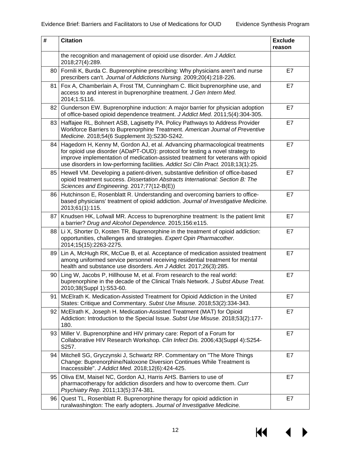| $\#$            | <b>Citation</b>                                                                                                                                                                                                                                                                                                                       | <b>Exclude</b><br>reason |
|-----------------|---------------------------------------------------------------------------------------------------------------------------------------------------------------------------------------------------------------------------------------------------------------------------------------------------------------------------------------|--------------------------|
|                 | the recognition and management of opioid use disorder. Am J Addict.<br>2018;27(4):289.                                                                                                                                                                                                                                                |                          |
| 80 l            | Fornili K, Burda C. Buprenorphine prescribing: Why physicians aren't and nurse<br>prescribers can't. Journal of Addictions Nursing. 2009;20(4):218-226.                                                                                                                                                                               | E7                       |
| 81              | Fox A, Chamberlain A, Frost TM, Cunningham C. Illicit buprenorphine use, and<br>access to and interest in buprenorphine treatment. J Gen Intern Med.<br>2014;1:S116.                                                                                                                                                                  | E7                       |
| 82              | Gunderson EW. Buprenorphine induction: A major barrier for physician adoption<br>of office-based opioid dependence treatment. J Addict Med. 2011;5(4):304-305.                                                                                                                                                                        | E7                       |
| 83              | Haffajee RL, Bohnert ASB, Lagisetty PA. Policy Pathways to Address Provider<br>Workforce Barriers to Buprenorphine Treatment. American Journal of Preventive<br>Medicine. 2018;54(6 Supplement 3):S230-S242.                                                                                                                          | E7                       |
| 84              | Hagedorn H, Kenny M, Gordon AJ, et al. Advancing pharmacological treatments<br>for opioid use disorder (ADaPT-OUD): protocol for testing a novel strategy to<br>improve implementation of medication-assisted treatment for veterans with opioid<br>use disorders in low-performing facilities. Addict Sci Clin Pract. 2018;13(1):25. | E7                       |
|                 | 85   Hewell VM. Developing a patient-driven, substantive definition of office-based<br>opioid treatment success. Dissertation Abstracts International: Section B: The<br>Sciences and Engineering. 2017;77(12-B(E))                                                                                                                   | E7                       |
| 86 I            | Hutchinson E, Rosenblatt R. Understanding and overcoming barriers to office-<br>based physicians' treatment of opioid addiction. Journal of Investigative Medicine.<br>2013;61(1):115.                                                                                                                                                | E7                       |
| 87              | Knudsen HK, Lofwall MR. Access to buprenorphine treatment: Is the patient limit<br>a barrier? Drug and Alcohol Dependence. 2015;156:e115.                                                                                                                                                                                             | E7                       |
| 88              | Li X, Shorter D, Kosten TR. Buprenorphine in the treatment of opioid addiction:<br>opportunities, challenges and strategies. Expert Opin Pharmacother.<br>2014;15(15):2263-2275.                                                                                                                                                      | E7                       |
| 89              | Lin A, McHugh RK, McCue B, et al. Acceptance of medication assisted treatment<br>among uniformed service personnel receiving residential treatment for mental<br>health and substance use disorders. Am J Addict. 2017;26(3):285.                                                                                                     | E7                       |
| 90              | Ling W, Jacobs P, Hillhouse M, et al. From research to the real world:<br>buprenorphine in the decade of the Clinical Trials Network. J Subst Abuse Treat.<br>2010;38(Suppl 1):S53-60.                                                                                                                                                | E7                       |
| 91              | McElrath K. Medication-Assisted Treatment for Opioid Addiction in the United<br>States: Critique and Commentary. Subst Use Misuse. 2018;53(2):334-343.                                                                                                                                                                                | E7                       |
| 92 <sub>1</sub> | McElrath K, Joseph H. Medication-Assisted Treatment (MAT) for Opioid<br>Addiction: Introduction to the Special Issue. Subst Use Misuse. 2018;53(2):177-<br>180.                                                                                                                                                                       | E7                       |
| 93              | Miller V. Buprenorphine and HIV primary care: Report of a Forum for<br>Collaborative HIV Research Workshop. Clin Infect Dis. 2006;43(Suppl 4):S254-<br>S257.                                                                                                                                                                          | E7                       |
| 94              | Mitchell SG, Gryczynski J, Schwartz RP. Commentary on "The More Things<br>Change: Buprenorphine/Naloxone Diversion Continues While Treatment is<br>Inaccessible". J Addict Med. 2018;12(6):424-425.                                                                                                                                   | E7                       |
| 95 I            | Oliva EM, Maisel NC, Gordon AJ, Harris AHS. Barriers to use of<br>pharmacotherapy for addiction disorders and how to overcome them. Curr<br>Psychiatry Rep. 2011;13(5):374-381.                                                                                                                                                       | E7                       |
| 96              | Quest TL, Rosenblatt R. Buprenorphine therapy for opioid addiction in<br>ruralwashington: The early adopters. Journal of Investigative Medicine.                                                                                                                                                                                      | E7                       |

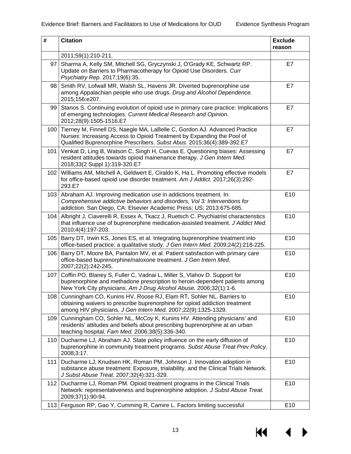| $\#$ | <b>Citation</b>                                                                                                                                                                                                               | <b>Exclude</b><br>reason |
|------|-------------------------------------------------------------------------------------------------------------------------------------------------------------------------------------------------------------------------------|--------------------------|
|      | 2011;59(1):210-211.                                                                                                                                                                                                           |                          |
| 97   | Sharma A, Kelly SM, Mitchell SG, Gryczynski J, O'Grady KE, Schwartz RP.<br>Update on Barriers to Pharmacotherapy for Opioid Use Disorders. Curr<br>Psychiatry Rep. 2017;19(6):35.                                             | E7                       |
| 98   | Smith RV, Lofwall MR, Walsh SL, Havens JR. Diverted buprenorphine use<br>among Appalachian people who use drugs. Drug and Alcohol Dependence.<br>2015;156:e207.                                                               | E7                       |
| 99   | Stanos S. Continuing evolution of opioid use in primary care practice: Implications<br>of emerging technologies. Current Medical Research and Opinion.<br>2012;28(9):1505-1516.E7                                             | E7                       |
| 100  | Tierney M, Finnell DS, Naegle MA, LaBelle C, Gordon AJ. Advanced Practice<br>Nurses: Increasing Access to Opioid Treatment by Expanding the Pool of<br>Qualified Buprenorphine Prescribers. Subst Abus. 2015;36(4):389-392.E7 | E7                       |
| 101  | Venkat D, Ling B, Watson C, Singh H, Cuevas E. Questioning biases: Assessing<br>resident attitudes towards opioid mainenance therapy. J Gen Intern Med.<br>2018;33(2 Suppl 1):319-320.E7                                      | E7                       |
| 102  | Williams AM, Mitchell A, Geldwert E, Ciraldo K, Ha L. Promoting effective models<br>for office-based opioid use disorder treatment. Am J Addict. 2017;26(3):292-<br>293.E7                                                    | E7                       |
| 103  | Abraham AJ. Improving medication use in addictions treatment. In:<br>Comprehensive addictive behaviors and disorders, Vol 3: Interventions for<br>addiction. San Diego, CA: Elsevier Academic Press; US; 2013:675-685.        | E10                      |
| 104  | Albright J, Ciaverelli R, Essex A, Tkacz J, Ruetsch C. Psychiatrist characteristics<br>that influence use of buprenorphine medication-assisted treatment. J Addict Med.<br>2010;4(4):197-203.                                 | E10                      |
| 105  | Barry DT, Irwin KS, Jones ES, et al. Integrating buprenorphine treatment into<br>office-based practice: a qualitative study. J Gen Intern Med. 2009;24(2):218-225.                                                            | E10                      |
| 106  | Barry DT, Moore BA, Pantalon MV, et al. Patient satisfaction with primary care<br>office-based buprenorphine/naloxone treatment. J Gen Intern Med.<br>2007;22(2):242-245.                                                     | E10                      |
| 107  | Coffin PO, Blaney S, Fuller C, Vadnai L, Miller S, Vlahov D. Support for<br>buprenorphine and methadone prescription to heroin-dependent patients among<br>New York City physicians. Am J Drug Alcohol Abuse. 2006;32(1):1-6. | E10                      |
| 108  | Cunningham CO, Kunins HV, Roose RJ, Elam RT, Sohler NL. Barriers to<br>obtaining waivers to prescribe buprenorphine for opioid addiction treatment<br>among HIV physicians. J Gen Intern Med. 2007;22(9):1325-1329.           | E10                      |
| 109  | Cunningham CO, Sohler NL, McCoy K, Kunins HV. Attending physicians' and<br>residents' attitudes and beliefs about prescribing buprenorphine at an urban<br>teaching hospital. Fam Med. 2006;38(5):336-340.                    | E10                      |
| 110  | Ducharme LJ, Abraham AJ. State policy influence on the early diffusion of<br>buprenorphine in community treatment programs. Subst Abuse Treat Prev Policy.<br>2008;3:17.                                                      | E10                      |
| 111  | Ducharme LJ, Knudsen HK, Roman PM, Johnson J. Innovation adoption in<br>substance abuse treatment: Exposure, trialability, and the Clinical Trials Network.<br>J Subst Abuse Treat. 2007;32(4):321-329.                       | E10                      |
| 112  | Ducharme LJ, Roman PM. Opioid treatment programs in the Clinical Trials<br>Network: representativeness and buprenorphine adoption. J Subst Abuse Treat.<br>2009;37(1):90-94.                                                  | E10                      |
|      | 113   Ferguson RP, Gao Y, Cumming R, Camire L. Factors limiting successful                                                                                                                                                    | E10                      |

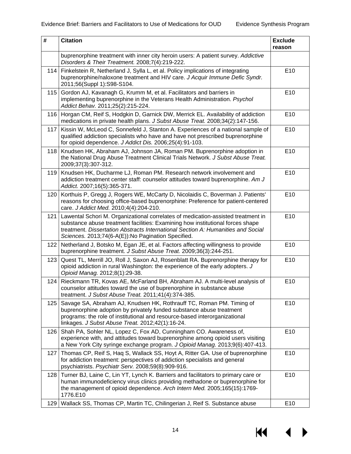| #   | <b>Citation</b>                                                                                                                                                                                                                                                                                              | <b>Exclude</b><br>reason |
|-----|--------------------------------------------------------------------------------------------------------------------------------------------------------------------------------------------------------------------------------------------------------------------------------------------------------------|--------------------------|
|     | buprenorphine treatment with inner city heroin users: A patient survey. Addictive<br>Disorders & Their Treatment. 2008;7(4):219-222.                                                                                                                                                                         |                          |
| 114 | Finkelstein R, Netherland J, Sylla L, et al. Policy implications of integrating<br>buprenorphine/naloxone treatment and HIV care. J Acquir Immune Defic Syndr.<br>2011;56(Suppl 1):S98-S104.                                                                                                                 | E <sub>10</sub>          |
| 115 | Gordon AJ, Kavanagh G, Krumm M, et al. Facilitators and barriers in<br>implementing buprenorphine in the Veterans Health Administration. Psychol<br>Addict Behav. 2011;25(2):215-224.                                                                                                                        | E10                      |
|     | 116 Horgan CM, Reif S, Hodgkin D, Garnick DW, Merrick EL. Availability of addiction<br>medications in private health plans. J Subst Abuse Treat. 2008;34(2):147-156.                                                                                                                                         | E <sub>10</sub>          |
| 117 | Kissin W, McLeod C, Sonnefeld J, Stanton A. Experiences of a national sample of<br>qualified addiction specialists who have and have not prescribed buprenorphine<br>for opioid dependence. J Addict Dis. 2006;25(4):91-103.                                                                                 | E10                      |
| 118 | Knudsen HK, Abraham AJ, Johnson JA, Roman PM. Buprenorphine adoption in<br>the National Drug Abuse Treatment Clinical Trials Network. J Subst Abuse Treat.<br>2009;37(3):307-312.                                                                                                                            | E10                      |
|     | 119 Knudsen HK, Ducharme LJ, Roman PM. Research network involvement and<br>addiction treatment center staff: counselor attitudes toward buprenorphine. Am J<br>Addict. 2007;16(5):365-371.                                                                                                                   | E10                      |
| 120 | Korthuis P, Gregg J, Rogers WE, McCarty D, Nicolaidis C, Boverman J. Patients'<br>reasons for choosing office-based buprenorphine: Preference for patient-centered<br>care. J Addict Med. 2010;4(4):204-210.                                                                                                 | E10                      |
| 121 | Lawental Schori M. Organizational correlates of medication-assisted treatment in<br>substance abuse treatment facilities: Examining how institutional forces shape<br>treatment. Dissertation Abstracts International Section A: Humanities and Social<br>Sciences. 2013;74(6-A(E)):No Pagination Specified. | E10                      |
| 122 | Netherland J, Botsko M, Egan JE, et al. Factors affecting willingness to provide<br>buprenorphine treatment. J Subst Abuse Treat. 2009;36(3):244-251.                                                                                                                                                        | E10                      |
| 123 | Quest TL, Merrill JO, Roll J, Saxon AJ, Rosenblatt RA. Buprenorphine therapy for<br>opioid addiction in rural Washington: the experience of the early adopters. J<br>Opioid Manag. 2012;8(1):29-38.                                                                                                          | E10                      |
| 124 | Rieckmann TR, Kovas AE, McFarland BH, Abraham AJ. A multi-level analysis of<br>counselor attitudes toward the use of buprenorphine in substance abuse<br>treatment. J Subst Abuse Treat. 2011;41(4):374-385.                                                                                                 | E10                      |
| 125 | Savage SA, Abraham AJ, Knudsen HK, Rothrauff TC, Roman PM. Timing of<br>buprenorphine adoption by privately funded substance abuse treatment<br>programs: the role of institutional and resource-based interorganizational<br>linkages. J Subst Abuse Treat. 2012;42(1):16-24.                               | E10                      |
| 126 | Shah PA, Sohler NL, Lopez C, Fox AD, Cunningham CO. Awareness of,<br>experience with, and attitudes toward buprenorphine among opioid users visiting<br>a New York City syringe exchange program. J Opioid Manag. 2013;9(6):407-413.                                                                         | E10                      |
| 127 | Thomas CP, Reif S, Hag S, Wallack SS, Hoyt A, Ritter GA. Use of buprenorphine<br>for addiction treatment: perspectives of addiction specialists and general<br>psychiatrists. Psychiatr Serv. 2008;59(8):909-916.                                                                                            | E <sub>10</sub>          |
| 128 | Turner BJ, Laine C, Lin YT, Lynch K. Barriers and facilitators to primary care or<br>human immunodeficiency virus clinics providing methadone or buprenorphine for<br>the management of opioid dependence. Arch Intern Med. 2005;165(15):1769-<br>1776.E10                                                   | E <sub>10</sub>          |
| 129 | Wallack SS, Thomas CP, Martin TC, Chilingerian J, Reif S. Substance abuse                                                                                                                                                                                                                                    | E <sub>10</sub>          |

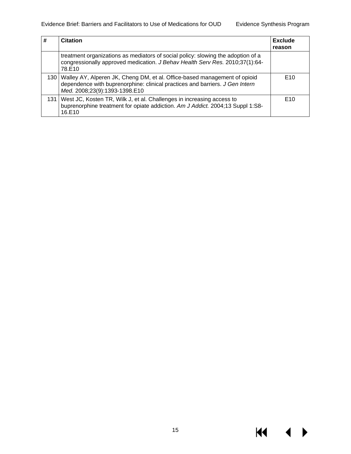$M \rightarrow$ 

| # | <b>Citation</b>                                                                                                                                                                                  | <b>Exclude</b><br>reason |
|---|--------------------------------------------------------------------------------------------------------------------------------------------------------------------------------------------------|--------------------------|
|   | treatment organizations as mediators of social policy: slowing the adoption of a<br>congressionally approved medication. J Behav Health Serv Res. 2010;37(1):64-<br>78.E10                       |                          |
|   | 130   Walley AY, Alperen JK, Cheng DM, et al. Office-based management of opioid<br>dependence with buprenorphine: clinical practices and barriers. J Gen Intern<br>Med. 2008;23(9):1393-1398.E10 | E10                      |
|   | 131   West JC, Kosten TR, Wilk J, et al. Challenges in increasing access to<br>buprenorphine treatment for opiate addiction. Am J Addict. 2004;13 Suppl 1:S8-<br>16.E10                          | E10                      |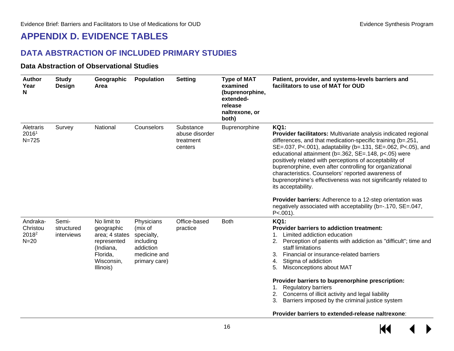## **APPENDIX D. EVIDENCE TABLES**

#### **DATA ABSTRACTION OF INCLUDED PRIMARY STUDIES**

#### **Data Abstraction of Observational Studies**

<span id="page-17-2"></span><span id="page-17-1"></span><span id="page-17-0"></span>

| <b>Author</b><br>Year<br>N                          | <b>Study</b><br>Design            | Geographic<br>Area                                                                                             | <b>Population</b>                                                                              | <b>Setting</b>                                      | <b>Type of MAT</b><br>examined<br>(buprenorphine,<br>extended-<br>release<br>naltrexone, or<br>both) | Patient, provider, and systems-levels barriers and<br>facilitators to use of MAT for OUD                                                                                                                                                                                                                                                                                                                                                                                                                                                                                                                                                                                                |
|-----------------------------------------------------|-----------------------------------|----------------------------------------------------------------------------------------------------------------|------------------------------------------------------------------------------------------------|-----------------------------------------------------|------------------------------------------------------------------------------------------------------|-----------------------------------------------------------------------------------------------------------------------------------------------------------------------------------------------------------------------------------------------------------------------------------------------------------------------------------------------------------------------------------------------------------------------------------------------------------------------------------------------------------------------------------------------------------------------------------------------------------------------------------------------------------------------------------------|
| <b>Aletraris</b><br>20161<br>$N = 725$              | Survey                            | National                                                                                                       | Counselors                                                                                     | Substance<br>abuse disorder<br>treatment<br>centers | Buprenorphine                                                                                        | <b>KQ1:</b><br>Provider facilitators: Multivariate analysis indicated regional<br>differences, and that medication-specific training (b=.251,<br>SE=.037, P<.001), adaptability (b=.131, SE=.062, P<.05), and<br>educational attainment (b=.362, SE=.148, p<.05) were<br>positively related with perceptions of acceptability of<br>buprenorphine, even after controlling for organizational<br>characteristics. Counselors' reported awareness of<br>buprenorphine's effectiveness was not significantly related to<br>its acceptability.<br>Provider barriers: Adherence to a 12-step orientation was<br>negatively associated with acceptability (b=-.170, SE=.047,<br>$P < .001$ ). |
| Andraka-<br>Christou<br>2018 <sup>2</sup><br>$N=20$ | Semi-<br>structured<br>interviews | No limit to<br>geographic<br>area; 4 states<br>represented<br>(Indiana,<br>Florida,<br>Wisconsin,<br>Illinois) | Physicians<br>(mix of<br>specialty,<br>including<br>addiction<br>medicine and<br>primary care) | Office-based<br>practice                            | <b>Both</b>                                                                                          | <b>KQ1:</b><br><b>Provider barriers to addiction treatment:</b><br>Limited addiction education<br>2.<br>Perception of patients with addiction as "difficult"; time and<br>staff limitations<br>Financial or insurance-related barriers<br>3.<br>Stigma of addiction<br>4.<br>Misconceptions about MAT<br>5.<br>Provider barriers to buprenorphine prescription:<br><b>Regulatory barriers</b><br>Concerns of illicit activity and legal liability<br>2.<br>Barriers imposed by the criminal justice system<br>3.<br>Provider barriers to extended-release naltrexone:                                                                                                                   |

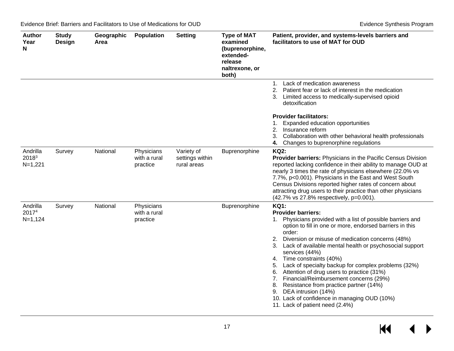| <b>Author</b><br>Year<br>N     | <b>Study</b><br>Design | Geographic<br>Area | <b>Population</b>                      | <b>Setting</b>                               | <b>Type of MAT</b><br>examined<br>(buprenorphine,<br>extended-<br>release<br>naltrexone, or<br>both) | Patient, provider, and systems-levels barriers and<br>facilitators to use of MAT for OUD                                                                                                                                                                                                                                                                                                                                                                                                                                                                                                                                                                                             |
|--------------------------------|------------------------|--------------------|----------------------------------------|----------------------------------------------|------------------------------------------------------------------------------------------------------|--------------------------------------------------------------------------------------------------------------------------------------------------------------------------------------------------------------------------------------------------------------------------------------------------------------------------------------------------------------------------------------------------------------------------------------------------------------------------------------------------------------------------------------------------------------------------------------------------------------------------------------------------------------------------------------|
|                                |                        |                    |                                        |                                              |                                                                                                      | 1. Lack of medication awareness<br>2. Patient fear or lack of interest in the medication<br>Limited access to medically-supervised opioid<br>3.<br>detoxification                                                                                                                                                                                                                                                                                                                                                                                                                                                                                                                    |
|                                |                        |                    |                                        |                                              |                                                                                                      | <b>Provider facilitators:</b><br>Expanded education opportunities<br>2. Insurance reform<br>Collaboration with other behavioral health professionals<br>3.<br>Changes to buprenorphine regulations<br>4.                                                                                                                                                                                                                                                                                                                                                                                                                                                                             |
| Andrilla<br>20183<br>$N=1,221$ | Survey                 | National           | Physicians<br>with a rural<br>practice | Variety of<br>settings within<br>rural areas | Buprenorphine                                                                                        | <b>KQ2:</b><br><b>Provider barriers: Physicians in the Pacific Census Division</b><br>reported lacking confidence in their ability to manage OUD at<br>nearly 3 times the rate of physicians elsewhere (22.0% vs<br>7.7%, p<0.001). Physicians in the East and West South<br>Census Divisions reported higher rates of concern about<br>attracting drug users to their practice than other physicians<br>(42.7% vs 27.8% respectively, p=0.001).                                                                                                                                                                                                                                     |
| Andrilla<br>20174<br>$N=1,124$ | Survey                 | National           | Physicians<br>with a rural<br>practice |                                              | Buprenorphine                                                                                        | <b>KQ1:</b><br><b>Provider barriers:</b><br>Physicians provided with a list of possible barriers and<br>1.<br>option to fill in one or more, endorsed barriers in this<br>order:<br>2. Diversion or misuse of medication concerns (48%)<br>Lack of available mental health or psychosocial support<br>3.<br>services (44%)<br>4. Time constraints (40%)<br>Lack of specialty backup for complex problems (32%)<br>5.<br>6. Attention of drug users to practice (31%)<br>Financial/Reimbursement concerns (29%)<br>7.<br>Resistance from practice partner (14%)<br>8.<br>DEA intrusion (14%)<br>9.<br>10. Lack of confidence in managing OUD (10%)<br>11. Lack of patient need (2.4%) |

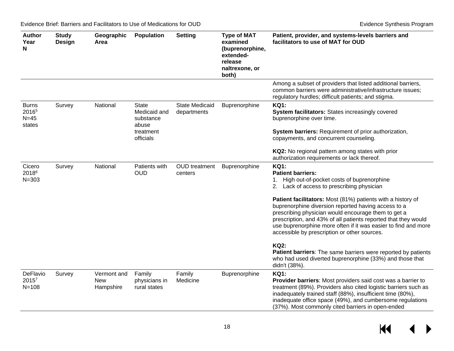| <b>Author</b><br>Year<br>N                            | <b>Study</b><br>Design | Geographic<br>Area                     | <b>Population</b>                                  | <b>Setting</b>                       | <b>Type of MAT</b><br>examined<br>(buprenorphine,<br>extended-<br>release<br>naltrexone, or<br>both) | Patient, provider, and systems-levels barriers and<br>facilitators to use of MAT for OUD                                                                                                                                                                                                                                                                      |
|-------------------------------------------------------|------------------------|----------------------------------------|----------------------------------------------------|--------------------------------------|------------------------------------------------------------------------------------------------------|---------------------------------------------------------------------------------------------------------------------------------------------------------------------------------------------------------------------------------------------------------------------------------------------------------------------------------------------------------------|
|                                                       |                        |                                        |                                                    |                                      |                                                                                                      | Among a subset of providers that listed additional barriers,<br>common barriers were administrative/infrastructure issues;<br>regulatory hurdles; difficult patients; and stigma.                                                                                                                                                                             |
| <b>Burns</b><br>2016 <sup>5</sup><br>$N=45$<br>states | Survey                 | National                               | <b>State</b><br>Medicaid and<br>substance<br>abuse | <b>State Medicaid</b><br>departments | Buprenorphine                                                                                        | <b>KQ1:</b><br><b>System facilitators: States increasingly covered</b><br>buprenorphine over time.                                                                                                                                                                                                                                                            |
|                                                       |                        |                                        | treatment<br>officials                             |                                      |                                                                                                      | System barriers: Requirement of prior authorization,<br>copayments, and concurrent counseling.<br>KQ2: No regional pattern among states with prior<br>authorization requirements or lack thereof.                                                                                                                                                             |
| Cicero<br>20186<br>$N = 303$                          | Survey                 | National                               | Patients with<br><b>OUD</b>                        | <b>OUD</b> treatment<br>centers      | Buprenorphine                                                                                        | <b>KQ1:</b><br><b>Patient barriers:</b><br>1. High out-of-pocket costs of buprenorphine<br>2. Lack of access to prescribing physician                                                                                                                                                                                                                         |
|                                                       |                        |                                        |                                                    |                                      |                                                                                                      | Patient facilitators: Most (81%) patients with a history of<br>buprenorphine diversion reported having access to a<br>prescribing physician would encourage them to get a<br>prescription, and 43% of all patients reported that they would<br>use buprenorphine more often if it was easier to find and more<br>accessible by prescription or other sources. |
|                                                       |                        |                                        |                                                    |                                      |                                                                                                      | <b>KQ2:</b><br>Patient barriers: The same barriers were reported by patients<br>who had used diverted buprenorphine (33%) and those that<br>didn't (38%).                                                                                                                                                                                                     |
| DeFlavio<br>2015 <sup>7</sup><br>$N = 108$            | Survey                 | Vermont and<br><b>New</b><br>Hampshire | Family<br>physicians in<br>rural states            | Family<br>Medicine                   | Buprenorphine                                                                                        | <b>KQ1:</b><br>Provider barriers: Most providers said cost was a barrier to<br>treatment (89%). Providers also cited logistic barriers such as<br>inadequately trained staff (88%), insufficient time (80%),<br>inadequate office space (49%), and cumbersome regulations<br>(37%). Most commonly cited barriers in open-ended                                |

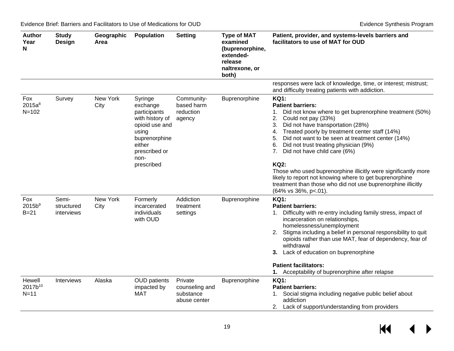| <b>Author</b><br>Year<br>N                | <b>Study</b><br>Design            | Geographic<br>Area | <b>Population</b>                                                                                                                                   | <b>Setting</b>                                         | <b>Type of MAT</b><br>examined<br>(buprenorphine,<br>extended-<br>release<br>naltrexone, or<br>both) | Patient, provider, and systems-levels barriers and<br>facilitators to use of MAT for OUD                                                                                                                                                                                                                                                                                                                                                                                                                                                                                                                                                |
|-------------------------------------------|-----------------------------------|--------------------|-----------------------------------------------------------------------------------------------------------------------------------------------------|--------------------------------------------------------|------------------------------------------------------------------------------------------------------|-----------------------------------------------------------------------------------------------------------------------------------------------------------------------------------------------------------------------------------------------------------------------------------------------------------------------------------------------------------------------------------------------------------------------------------------------------------------------------------------------------------------------------------------------------------------------------------------------------------------------------------------|
|                                           |                                   |                    |                                                                                                                                                     |                                                        |                                                                                                      | responses were lack of knowledge, time, or interest; mistrust;<br>and difficulty treating patients with addiction.                                                                                                                                                                                                                                                                                                                                                                                                                                                                                                                      |
| Fox<br>$2015a^8$<br>$N = 102$             | Survey                            | New York<br>City   | Syringe<br>exchange<br>participants<br>with history of<br>opioid use and<br>using<br>buprenorphine<br>either<br>prescribed or<br>non-<br>prescribed | Community-<br>based harm<br>reduction<br>agency        | Buprenorphine                                                                                        | <b>KQ1:</b><br><b>Patient barriers:</b><br>Did not know where to get buprenorphine treatment (50%)<br>$1_{\cdot}$<br>2.<br>Could not pay (33%)<br>Did not have transportation (28%)<br>3.<br>Treated poorly by treatment center staff (14%)<br>4.<br>Did not want to be seen at treatment center (14%)<br>5.<br>Did not trust treating physician (9%)<br>6.<br>Did not have child care (6%)<br>7.<br><b>KQ2:</b><br>Those who used buprenorphine illicitly were significantly more<br>likely to report not knowing where to get buprenorphine<br>treatment than those who did not use buprenorphine illicitly<br>(64% vs 36%, p <. 01). |
| Fox<br>2015b <sup>9</sup><br>$B=21$       | Semi-<br>structured<br>interviews | New York<br>City   | Formerly<br>incarcerated<br>individuals<br>with OUD                                                                                                 | Addiction<br>treatment<br>settings                     | Buprenorphine                                                                                        | <b>KQ1:</b><br><b>Patient barriers:</b><br>Difficulty with re-entry including family stress, impact of<br>1.<br>incarceration on relationships,<br>homelessness/unemployment<br>2. Stigma including a belief in personal responsibility to quit<br>opioids rather than use MAT, fear of dependency, fear of<br>withdrawal<br>3. Lack of education on buprenorphine<br><b>Patient facilitators:</b><br>1. Acceptability of buprenorphine after relapse                                                                                                                                                                                   |
| Hewell<br>2017b <sup>10</sup><br>$N = 11$ | <b>Interviews</b>                 | Alaska             | <b>OUD</b> patients<br>impacted by<br>MAT                                                                                                           | Private<br>counseling and<br>substance<br>abuse center | Buprenorphine                                                                                        | <b>KQ1:</b><br><b>Patient barriers:</b><br>1. Social stigma including negative public belief about<br>addiction<br>2. Lack of support/understanding from providers                                                                                                                                                                                                                                                                                                                                                                                                                                                                      |

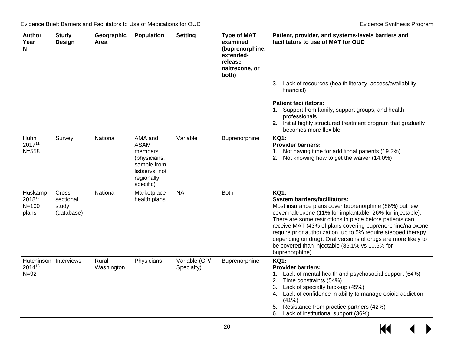| <b>Author</b><br>Year<br>N                  | <b>Study</b><br>Design                     | Geographic<br>Area  | <b>Population</b>                                                                                             | <b>Setting</b>              | <b>Type of MAT</b><br>examined<br>(buprenorphine,<br>extended-<br>release<br>naltrexone, or<br>both) | Patient, provider, and systems-levels barriers and<br>facilitators to use of MAT for OUD                                                                                                                                                                                                                                                                                                                                                                                                                    |
|---------------------------------------------|--------------------------------------------|---------------------|---------------------------------------------------------------------------------------------------------------|-----------------------------|------------------------------------------------------------------------------------------------------|-------------------------------------------------------------------------------------------------------------------------------------------------------------------------------------------------------------------------------------------------------------------------------------------------------------------------------------------------------------------------------------------------------------------------------------------------------------------------------------------------------------|
|                                             |                                            |                     |                                                                                                               |                             |                                                                                                      | 3. Lack of resources (health literacy, access/availability,<br>financial)<br><b>Patient facilitators:</b><br>1. Support from family, support groups, and health<br>professionals<br>2. Initial highly structured treatment program that gradually<br>becomes more flexible                                                                                                                                                                                                                                  |
| Huhn<br>201711<br>$N = 558$                 | Survey                                     | National            | AMA and<br><b>ASAM</b><br>members<br>(physicians,<br>sample from<br>listservs, not<br>regionally<br>specific) | Variable                    | Buprenorphine                                                                                        | <b>KQ1:</b><br><b>Provider barriers:</b><br>1. Not having time for additional patients (19.2%)<br>2. Not knowing how to get the waiver (14.0%)                                                                                                                                                                                                                                                                                                                                                              |
| Huskamp<br>201812<br>$N = 100$<br>plans     | Cross-<br>sectional<br>study<br>(database) | National            | Marketplace<br>health plans                                                                                   | <b>NA</b>                   | <b>Both</b>                                                                                          | <b>KQ1:</b><br><b>System barriers/facilitators:</b><br>Most insurance plans cover buprenorphine (86%) but few<br>cover naltrexone (11% for implantable, 26% for injectable).<br>There are some restrictions in place before patients can<br>receive MAT (43% of plans covering buprenorphine/naloxone<br>require prior authorization, up to 5% require stepped therapy<br>depending on drug). Oral versions of drugs are more likely to<br>be covered than injectable (86.1% vs 10.6% for<br>buprenorphine) |
| Hutchinson Interviews<br>201413<br>$N = 92$ |                                            | Rural<br>Washington | Physicians                                                                                                    | Variable (GP/<br>Specialty) | Buprenorphine                                                                                        | <b>KQ1:</b><br><b>Provider barriers:</b><br>1. Lack of mental health and psychosocial support (64%)<br>Time constraints (54%)<br>2.<br>Lack of specialty back-up (45%)<br>3.<br>Lack of confidence in ability to manage opioid addiction<br>4.<br>(41%)<br>5. Resistance from practice partners (42%)<br>6. Lack of institutional support (36%)                                                                                                                                                             |

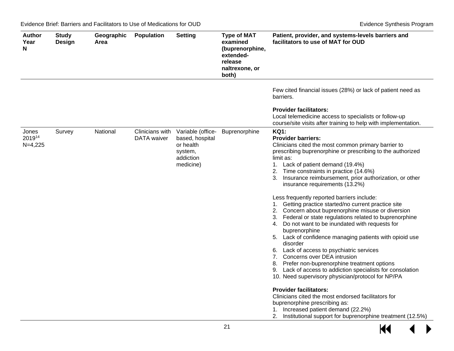| <b>Author</b><br>Year<br>N   | <b>Study</b><br><b>Design</b> | Geographic<br>Area | <b>Population</b>              | <b>Setting</b>                                                                         | <b>Type of MAT</b><br>examined<br>(buprenorphine,<br>extended-<br>release<br>naltrexone, or<br>both) | Patient, provider, and systems-levels barriers and<br>facilitators to use of MAT for OUD                                                                                                                                                                                                                                                                                                                                                                                                                                                                                                                                                                                                                                                                                                                                                                                                                                                                                                                                                                                                                                                                                                                         |
|------------------------------|-------------------------------|--------------------|--------------------------------|----------------------------------------------------------------------------------------|------------------------------------------------------------------------------------------------------|------------------------------------------------------------------------------------------------------------------------------------------------------------------------------------------------------------------------------------------------------------------------------------------------------------------------------------------------------------------------------------------------------------------------------------------------------------------------------------------------------------------------------------------------------------------------------------------------------------------------------------------------------------------------------------------------------------------------------------------------------------------------------------------------------------------------------------------------------------------------------------------------------------------------------------------------------------------------------------------------------------------------------------------------------------------------------------------------------------------------------------------------------------------------------------------------------------------|
|                              |                               |                    |                                |                                                                                        |                                                                                                      | Few cited financial issues (28%) or lack of patient need as<br>barriers.                                                                                                                                                                                                                                                                                                                                                                                                                                                                                                                                                                                                                                                                                                                                                                                                                                                                                                                                                                                                                                                                                                                                         |
|                              |                               |                    |                                |                                                                                        |                                                                                                      | <b>Provider facilitators:</b><br>Local telemedicine access to specialists or follow-up<br>course/site visits after training to help with implementation.                                                                                                                                                                                                                                                                                                                                                                                                                                                                                                                                                                                                                                                                                                                                                                                                                                                                                                                                                                                                                                                         |
| Jones<br>201914<br>$N=4,225$ | Survey                        | National           | Clinicians with<br>DATA waiver | Variable (office-<br>based, hospital<br>or health<br>system,<br>addiction<br>medicine) | Buprenorphine                                                                                        | <b>KQ1:</b><br><b>Provider barriers:</b><br>Clinicians cited the most common primary barrier to<br>prescribing buprenorphine or prescribing to the authorized<br>limit as:<br>1. Lack of patient demand (19.4%)<br>2. Time constraints in practice (14.6%)<br>Insurance reimbursement, prior authorization, or other<br>insurance requirements (13.2%)<br>Less frequently reported barriers include:<br>1. Getting practice started/no current practice site<br>2. Concern about buprenorphine misuse or diversion<br>3. Federal or state regulations related to buprenorphine<br>Do not want to be inundated with requests for<br>4.<br>buprenorphine<br>5. Lack of confidence managing patients with opioid use<br>disorder<br>6. Lack of access to psychiatric services<br>7. Concerns over DEA intrusion<br>8. Prefer non-buprenorphine treatment options<br>9. Lack of access to addiction specialists for consolation<br>10. Need supervisory physician/protocol for NP/PA<br><b>Provider facilitators:</b><br>Clinicians cited the most endorsed facilitators for<br>buprenorphine prescribing as:<br>1. Increased patient demand (22.2%)<br>2. Institutional support for buprenorphine treatment (12.5%) |

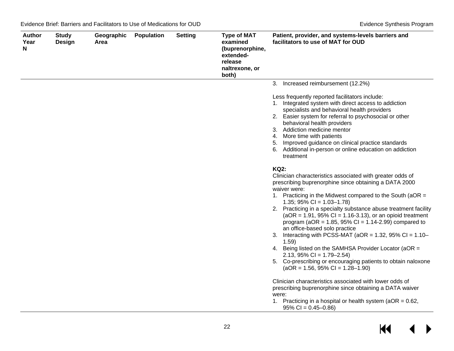| Author<br>Year<br>N | <b>Study</b><br><b>Design</b> | Geographic<br>Area | Population | <b>Setting</b> | <b>Type of MAT</b><br>examined<br>(buprenorphine,<br>extended-<br>release<br>naltrexone, or<br>both) | Patient, provider, and systems-levels barriers and<br>facilitators to use of MAT for OUD                                                                                                                                                                                                                                                                                                                                                                                                                                                                                                                                                                                                                                                                |
|---------------------|-------------------------------|--------------------|------------|----------------|------------------------------------------------------------------------------------------------------|---------------------------------------------------------------------------------------------------------------------------------------------------------------------------------------------------------------------------------------------------------------------------------------------------------------------------------------------------------------------------------------------------------------------------------------------------------------------------------------------------------------------------------------------------------------------------------------------------------------------------------------------------------------------------------------------------------------------------------------------------------|
|                     |                               |                    |            |                |                                                                                                      | 3. Increased reimbursement (12.2%)                                                                                                                                                                                                                                                                                                                                                                                                                                                                                                                                                                                                                                                                                                                      |
|                     |                               |                    |            |                |                                                                                                      | Less frequently reported facilitators include:<br>1. Integrated system with direct access to addiction<br>specialists and behavioral health providers<br>2. Easier system for referral to psychosocial or other<br>behavioral health providers<br>3. Addiction medicine mentor<br>4. More time with patients<br>5. Improved guidance on clinical practice standards<br>6. Additional in-person or online education on addiction<br>treatment                                                                                                                                                                                                                                                                                                            |
|                     |                               |                    |            |                |                                                                                                      | <b>KQ2:</b><br>Clinician characteristics associated with greater odds of<br>prescribing buprenorphine since obtaining a DATA 2000<br>waiver were:<br>1. Practicing in the Midwest compared to the South (aOR =<br>1.35; $95\%$ Cl = 1.03-1.78)<br>2. Practicing in a specialty substance abuse treatment facility<br>$(aOR = 1.91, 95\% CI = 1.16-3.13)$ , or an opioid treatment<br>program ( $aOR = 1.85$ , 95% CI = 1.14-2.99) compared to<br>an office-based solo practice<br>3. Interacting with PCSS-MAT ( $aOR = 1.32$ , 95% CI = 1.10–<br>1.59)<br>4. Being listed on the SAMHSA Provider Locator (aOR =<br>$2.13, 95\%$ Cl = 1.79-2.54)<br>5. Co-prescribing or encouraging patients to obtain naloxone<br>$(aOR = 1.56, 95\% CI = 1.28-1.90)$ |
|                     |                               |                    |            |                |                                                                                                      | Clinician characteristics associated with lower odds of<br>prescribing buprenorphine since obtaining a DATA waiver<br>were:<br>1. Practicing in a hospital or health system ( $aOR = 0.62$ ,<br>$95\%$ CI = 0.45-0.86)                                                                                                                                                                                                                                                                                                                                                                                                                                                                                                                                  |

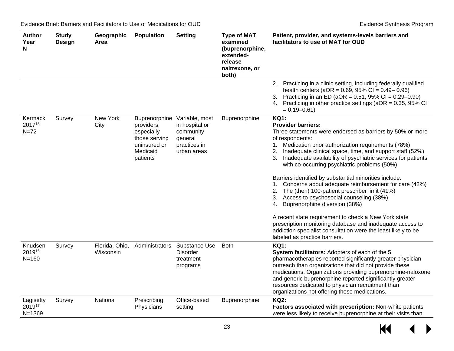| <b>Author</b><br>Year<br>N        | <b>Study</b><br>Design | Geographic<br>Area          | <b>Population</b>                                                                                  | <b>Setting</b>                                                                          | <b>Type of MAT</b><br>examined<br>(buprenorphine,<br>extended-<br>release<br>naltrexone, or<br>both) | Patient, provider, and systems-levels barriers and<br>facilitators to use of MAT for OUD                                                                                                                                                                                                                                                                                                                                                                                                                                                                                                                                                                                                                                                                                                                                                                            |
|-----------------------------------|------------------------|-----------------------------|----------------------------------------------------------------------------------------------------|-----------------------------------------------------------------------------------------|------------------------------------------------------------------------------------------------------|---------------------------------------------------------------------------------------------------------------------------------------------------------------------------------------------------------------------------------------------------------------------------------------------------------------------------------------------------------------------------------------------------------------------------------------------------------------------------------------------------------------------------------------------------------------------------------------------------------------------------------------------------------------------------------------------------------------------------------------------------------------------------------------------------------------------------------------------------------------------|
|                                   |                        |                             |                                                                                                    |                                                                                         |                                                                                                      | 2. Practicing in a clinic setting, including federally qualified<br>health centers ( $aOR = 0.69$ , $95\% CI = 0.49 - 0.96$ )<br>Practicing in an ED (aOR = $0.51$ , 95% CI = $0.29 - 0.90$ )<br>3.<br>4. Practicing in other practice settings (aOR = 0.35, 95% CI<br>$= 0.19 - 0.61$                                                                                                                                                                                                                                                                                                                                                                                                                                                                                                                                                                              |
| Kermack<br>201715<br>$N=72$       | Survey                 | New York<br>City            | Buprenorphine<br>providers,<br>especially<br>those serving<br>uninsured or<br>Medicaid<br>patients | Variable, most<br>in hospital or<br>community<br>general<br>practices in<br>urban areas | Buprenorphine                                                                                        | <b>KQ1:</b><br><b>Provider barriers:</b><br>Three statements were endorsed as barriers by 50% or more<br>of respondents:<br>1. Medication prior authorization requirements (78%)<br>Inadequate clinical space, time, and support staff (52%)<br>2.<br>Inadequate availability of psychiatric services for patients<br>3.<br>with co-occurring psychiatric problems (50%)<br>Barriers identified by substantial minorities include:<br>Concerns about adequate reimbursement for care (42%)<br>1.<br>2. The (then) 100-patient prescriber limit (41%)<br>Access to psychosocial counseling (38%)<br>3.<br>Buprenorphine diversion (38%)<br>4.<br>A recent state requirement to check a New York state<br>prescription monitoring database and inadequate access to<br>addiction specialist consultation were the least likely to be<br>labeled as practice barriers. |
| Knudsen<br>201916<br>$N = 160$    | Survey                 | Florida, Ohio,<br>Wisconsin | Administrators                                                                                     | Substance Use<br><b>Disorder</b><br>treatment<br>programs                               | <b>Both</b>                                                                                          | <b>KQ1:</b><br>System facilitators: Adopters of each of the 5<br>pharmacotherapies reported significantly greater physician<br>outreach than organizations that did not provide these<br>medications. Organizations providing buprenorphine-naloxone<br>and generic buprenorphine reported significantly greater<br>resources dedicated to physician recruitment than<br>organizations not offering these medications.                                                                                                                                                                                                                                                                                                                                                                                                                                              |
| Lagisetty<br>201917<br>$N = 1369$ | Survey                 | National                    | Prescribing<br>Physicians                                                                          | Office-based<br>setting                                                                 | Buprenorphine                                                                                        | <b>KQ2:</b><br>Factors associated with prescription: Non-white patients<br>were less likely to receive buprenorphine at their visits than                                                                                                                                                                                                                                                                                                                                                                                                                                                                                                                                                                                                                                                                                                                           |

 $\overline{\mathbf{M}}$  $\blacktriangleright$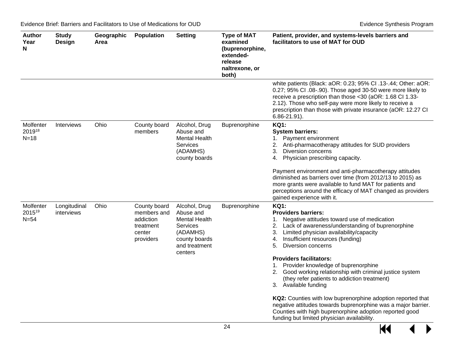| Author<br>Year<br>N           | <b>Study</b><br>Design     | Geographic<br>Area | <b>Population</b>                                                            | <b>Setting</b>                                                                                                          | <b>Type of MAT</b><br>examined<br>(buprenorphine,<br>extended-<br>release<br>naltrexone, or<br>both) | Patient, provider, and systems-levels barriers and<br>facilitators to use of MAT for OUD                                                                                                                                                                                                                                                                                                                                                                                                                                                                                                                                                                                                                                                   |
|-------------------------------|----------------------------|--------------------|------------------------------------------------------------------------------|-------------------------------------------------------------------------------------------------------------------------|------------------------------------------------------------------------------------------------------|--------------------------------------------------------------------------------------------------------------------------------------------------------------------------------------------------------------------------------------------------------------------------------------------------------------------------------------------------------------------------------------------------------------------------------------------------------------------------------------------------------------------------------------------------------------------------------------------------------------------------------------------------------------------------------------------------------------------------------------------|
|                               |                            |                    |                                                                              |                                                                                                                         |                                                                                                      | white patients (Black: aOR: 0.23; 95% CI .13-.44; Other: aOR:<br>0.27; 95% CI .08-.90). Those aged 30-50 were more likely to<br>receive a prescription than those <30 (aOR: 1.68 CI 1.33-<br>2.12). Those who self-pay were more likely to receive a<br>prescription than those with private insurance (aOR: 12.27 CI<br>$6.86 - 21.91$ .                                                                                                                                                                                                                                                                                                                                                                                                  |
| Molfenter<br>201918<br>$N=18$ | Interviews                 | Ohio               | County board<br>members                                                      | Alcohol, Drug<br>Abuse and<br><b>Mental Health</b><br>Services<br>(ADAMHS)<br>county boards                             | Buprenorphine                                                                                        | <b>KQ1:</b><br><b>System barriers:</b><br>1. Payment environment<br>2. Anti-pharmacotherapy attitudes for SUD providers<br><b>Diversion concerns</b><br>3.<br>Physician prescribing capacity.<br>4.<br>Payment environment and anti-pharmacotherapy attitudes<br>diminished as barriers over time (from 2012/13 to 2015) as<br>more grants were available to fund MAT for patients and<br>perceptions around the efficacy of MAT changed as providers<br>gained experience with it.                                                                                                                                                                                                                                                        |
| Molfenter<br>201519<br>$N=54$ | Longitudinal<br>interviews | Ohio               | County board<br>members and<br>addiction<br>treatment<br>center<br>providers | Alcohol, Drug<br>Abuse and<br><b>Mental Health</b><br>Services<br>(ADAMHS)<br>county boards<br>and treatment<br>centers | Buprenorphine                                                                                        | <b>KQ1:</b><br><b>Providers barriers:</b><br>1. Negative attitudes toward use of medication<br>Lack of awareness/understanding of buprenorphine<br>2.<br>Limited physician availability/capacity<br>3.<br>Insufficient resources (funding)<br>4.<br>Diversion concerns<br>5.<br><b>Providers facilitators:</b><br>1. Provider knowledge of buprenorphine<br>Good working relationship with criminal justice system<br>2.<br>(they refer patients to addiction treatment)<br>3. Available funding<br>KQ2: Counties with low buprenorphine adoption reported that<br>negative attitudes towards buprenorphine was a major barrier.<br>Counties with high buprenorphine adoption reported good<br>funding but limited physician availability. |

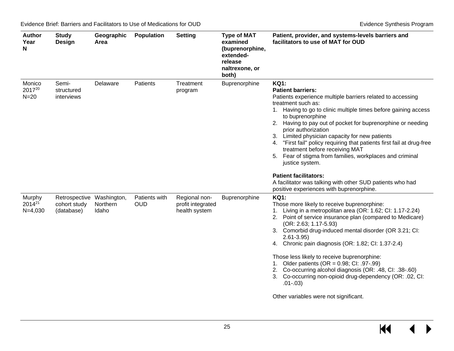| <b>Author</b><br>Year<br>N                | <b>Study</b><br><b>Design</b>               | Geographic<br>Area               | <b>Population</b>           | <b>Setting</b>                                      | <b>Type of MAT</b><br>examined<br>(buprenorphine,<br>extended-<br>release<br>naltrexone, or<br>both) | Patient, provider, and systems-levels barriers and<br>facilitators to use of MAT for OUD                                                                                                                                                                                                                                                                                                                                                                                                                                                                                                        |
|-------------------------------------------|---------------------------------------------|----------------------------------|-----------------------------|-----------------------------------------------------|------------------------------------------------------------------------------------------------------|-------------------------------------------------------------------------------------------------------------------------------------------------------------------------------------------------------------------------------------------------------------------------------------------------------------------------------------------------------------------------------------------------------------------------------------------------------------------------------------------------------------------------------------------------------------------------------------------------|
| Monico<br>201720<br>$N=20$                | Semi-<br>structured<br>interviews           | Delaware                         | Patients                    | Treatment<br>program                                | Buprenorphine                                                                                        | <b>KQ1:</b><br><b>Patient barriers:</b><br>Patients experience multiple barriers related to accessing<br>treatment such as:<br>1. Having to go to clinic multiple times before gaining access<br>to buprenorphine<br>Having to pay out of pocket for buprenorphine or needing<br>prior authorization<br>Limited physician capacity for new patients<br>3.<br>4. "First fail" policy requiring that patients first fail at drug-free<br>treatment before receiving MAT<br>Fear of stigma from families, workplaces and criminal<br>5.<br>justice system.                                         |
|                                           |                                             |                                  |                             |                                                     |                                                                                                      | <b>Patient facilitators:</b><br>A facilitator was talking with other SUD patients who had<br>positive experiences with buprenorphine.                                                                                                                                                                                                                                                                                                                                                                                                                                                           |
| Murphy<br>2014 <sup>21</sup><br>$N=4,030$ | Retrospective<br>cohort study<br>(database) | Washington,<br>Northern<br>Idaho | Patients with<br><b>OUD</b> | Regional non-<br>profit integrated<br>health system | Buprenorphine                                                                                        | <b>KQ1:</b><br>Those more likely to receive buprenorphine:<br>1. Living in a metropolitan area (OR: 1.62; CI: 1.17-2.24)<br>2. Point of service insurance plan (compared to Medicare)<br>$(OR: 2.63; 1.17-5.93)$<br>3. Comorbid drug-induced mental disorder (OR 3.21; CI:<br>$2.61 - 3.95$<br>Chronic pain diagnosis (OR: 1.82; CI: 1.37-2.4)<br>4.<br>Those less likely to receive buprenorphine:<br>1. Older patients (OR = $0.98$ ; CI: .97-.99)<br>2. Co-occurring alcohol diagnosis (OR: .48, CI: .38-.60)<br>Co-occurring non-opioid drug-dependency (OR: .02, CI:<br>3.<br>$.01 - .03)$ |
|                                           |                                             |                                  |                             |                                                     |                                                                                                      | Other variables were not significant.                                                                                                                                                                                                                                                                                                                                                                                                                                                                                                                                                           |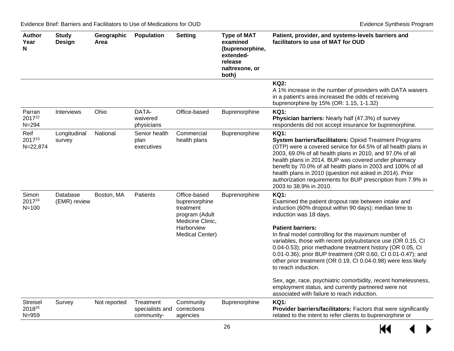| <b>Author</b><br>Year<br>N             | <b>Study</b><br><b>Design</b> | Geographic<br>Area | Population                                 | <b>Setting</b>                                                                                                           | <b>Type of MAT</b><br>examined<br>(buprenorphine,<br>extended-<br>release<br>naltrexone, or<br>both) | Patient, provider, and systems-levels barriers and<br>facilitators to use of MAT for OUD                                                                                                                                                                                                                                                                                                                                                                                                                                                                                                                                                                                                                 |
|----------------------------------------|-------------------------------|--------------------|--------------------------------------------|--------------------------------------------------------------------------------------------------------------------------|------------------------------------------------------------------------------------------------------|----------------------------------------------------------------------------------------------------------------------------------------------------------------------------------------------------------------------------------------------------------------------------------------------------------------------------------------------------------------------------------------------------------------------------------------------------------------------------------------------------------------------------------------------------------------------------------------------------------------------------------------------------------------------------------------------------------|
|                                        |                               |                    |                                            |                                                                                                                          |                                                                                                      | <b>KQ2:</b><br>A 1% increase in the number of providers with DATA waivers<br>in a patient's area increased the odds of receiving<br>buprenorphine by 15% (OR: 1.15, 1-1.32)                                                                                                                                                                                                                                                                                                                                                                                                                                                                                                                              |
| Parran<br>201722<br>$N = 294$          | <b>Interviews</b>             | Ohio               | DATA-<br>waivered<br>physicians            | Office-based                                                                                                             | Buprenorphine                                                                                        | <b>KQ1:</b><br>Physician barriers: Nearly half (47.3%) of survey<br>respondents did not accept insurance for buprenorphine.                                                                                                                                                                                                                                                                                                                                                                                                                                                                                                                                                                              |
| Reif<br>201723<br>$N = 22,874$         | Longitudinal<br>survey        | National           | Senior health<br>plan<br>executives        | Commercial<br>health plans                                                                                               | Buprenorphine                                                                                        | <b>KQ1:</b><br>System barriers/facilitators: Opioid Treatment Programs<br>(OTP) were a covered service for 64.5% of all health plans in<br>2003, 69.0% of all health plans in 2010, and 97.0% of all<br>health plans in 2014. BUP was covered under pharmacy<br>benefit by 70.0% of all health plans in 2003 and 100% of all<br>health plans in 2010 (question not asked in 2014). Prior<br>authorization requirements for BUP prescription from 7.9% in<br>2003 to 38.9% in 2010.                                                                                                                                                                                                                       |
| Simon<br>201724<br>$N = 100$           | Database<br>(EMR) review      | Boston, MA         | Patients                                   | Office-based<br>buprenorphine<br>treatment<br>program (Adult<br>Medicine Clinic,<br>Harborview<br><b>Medical Center)</b> | Buprenorphine                                                                                        | <b>KQ1:</b><br>Examined the patient dropout rate between intake and<br>induction (60% dropout within 90 days); median time to<br>induction was 18 days.<br><b>Patient barriers:</b><br>In final model controlling for the maximum number of<br>variables, those with recent polysubstance use (OR 0.15, CI<br>0.04-0.53); prior methadone treatment history (OR 0.05, CI<br>0.01-0.36); prior BUP treatment (OR 0.60, CI 0.01-0.47); and<br>other prior treatment (OR 0.19, CI 0.04-0.98) were less likely<br>to reach induction.<br>Sex, age, race, psychiatric comorbidity, recent homelessness,<br>employment status, and currently partnered were not<br>associated with failure to reach induction. |
| <b>Streisel</b><br>201825<br>$N = 959$ | Survey                        | Not reported       | Treatment<br>specialists and<br>community- | Community<br>corrections<br>agencies                                                                                     | Buprenorphine                                                                                        | <b>KQ1:</b><br>Provider barriers/facilitators: Factors that were significantly<br>related to the intent to refer clients to buprenorphine or                                                                                                                                                                                                                                                                                                                                                                                                                                                                                                                                                             |

 $M \leftarrow \leftarrow$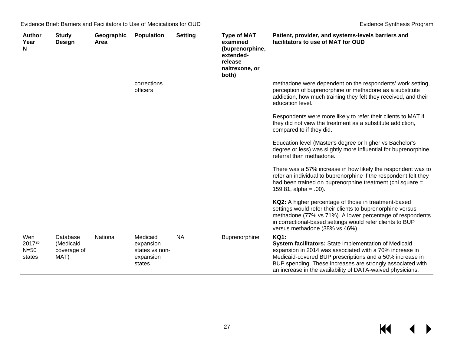| <b>Author</b><br>Year<br>N        | <b>Study</b><br>Design                       | Geographic<br>Area | <b>Population</b>                                              | <b>Setting</b> | <b>Type of MAT</b><br>examined<br>(buprenorphine,<br>extended-<br>release<br>naltrexone, or<br>both) | Patient, provider, and systems-levels barriers and<br>facilitators to use of MAT for OUD                                                                                                                                                                                                                                |
|-----------------------------------|----------------------------------------------|--------------------|----------------------------------------------------------------|----------------|------------------------------------------------------------------------------------------------------|-------------------------------------------------------------------------------------------------------------------------------------------------------------------------------------------------------------------------------------------------------------------------------------------------------------------------|
|                                   |                                              |                    | corrections<br>officers                                        |                |                                                                                                      | methadone were dependent on the respondents' work setting,<br>perception of buprenorphine or methadone as a substitute<br>addiction, how much training they felt they received, and their<br>education level.                                                                                                           |
|                                   |                                              |                    |                                                                |                |                                                                                                      | Respondents were more likely to refer their clients to MAT if<br>they did not view the treatment as a substitute addiction,<br>compared to if they did.                                                                                                                                                                 |
|                                   |                                              |                    |                                                                |                |                                                                                                      | Education level (Master's degree or higher vs Bachelor's<br>degree or less) was slightly more influential for buprenorphine<br>referral than methadone.                                                                                                                                                                 |
|                                   |                                              |                    |                                                                |                |                                                                                                      | There was a 57% increase in how likely the respondent was to<br>refer an individual to buprenorphine if the respondent felt they<br>had been trained on buprenorphine treatment (chi square =<br>$159.81$ , alpha = .00).                                                                                               |
|                                   |                                              |                    |                                                                |                |                                                                                                      | KQ2: A higher percentage of those in treatment-based<br>settings would refer their clients to buprenorphine versus<br>methadone (77% vs 71%). A lower percentage of respondents<br>in correctional-based settings would refer clients to BUP<br>versus methadone (38% vs 46%).                                          |
| Wen<br>201726<br>$N=50$<br>states | Database<br>(Medicaid<br>coverage of<br>MAT) | National           | Medicaid<br>expansion<br>states vs non-<br>expansion<br>states | <b>NA</b>      | Buprenorphine                                                                                        | <b>KQ1:</b><br>System facilitators: State implementation of Medicaid<br>expansion in 2014 was associated with a 70% increase in<br>Medicaid-covered BUP prescriptions and a 50% increase in<br>BUP spending. These increases are strongly associated with<br>an increase in the availability of DATA-waived physicians. |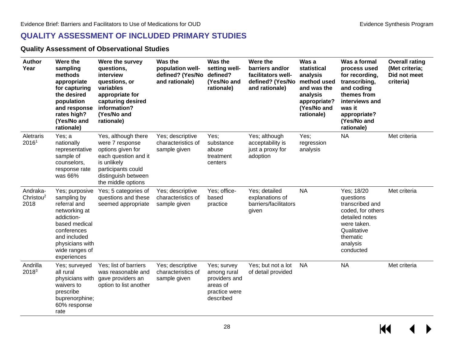#### **QUALITY ASSESSMENT OF INCLUDED PRIMARY STUDIES**

#### **Quality Assessment of Observational Studies**

<span id="page-29-1"></span><span id="page-29-0"></span>

| <b>Author</b><br>Year                     | Were the<br>sampling<br>methods<br>appropriate<br>for capturing<br>the desired<br>population<br>and response<br>rates high?<br>(Yes/No and<br>rationale)                         | Were the survey<br>questions,<br>interview<br>questions, or<br>variables<br>appropriate for<br>capturing desired<br>information?<br>(Yes/No and<br>rationale)         | Was the<br>population well-<br>defined? (Yes/No<br>and rationale) | Was the<br>setting well-<br>defined?<br>(Yes/No and<br>rationale)                     | Were the<br>barriers and/or<br>facilitators well-<br>defined? (Yes/No<br>and rationale) | Was a<br>statistical<br>analysis<br>method used<br>and was the<br>analysis<br>appropriate?<br>(Yes/No and<br>rationale) | Was a formal<br>process used<br>for recording,<br>transcribing,<br>and coding<br>themes from<br>interviews and<br>was it<br>appropriate?<br>(Yes/No and<br>rationale) | <b>Overall rating</b><br>(Met criteria;<br>Did not meet<br>criteria) |
|-------------------------------------------|----------------------------------------------------------------------------------------------------------------------------------------------------------------------------------|-----------------------------------------------------------------------------------------------------------------------------------------------------------------------|-------------------------------------------------------------------|---------------------------------------------------------------------------------------|-----------------------------------------------------------------------------------------|-------------------------------------------------------------------------------------------------------------------------|-----------------------------------------------------------------------------------------------------------------------------------------------------------------------|----------------------------------------------------------------------|
| Aletraris<br>2016 <sup>1</sup>            | Yes; a<br>nationally<br>representative<br>sample of<br>counselors,<br>response rate<br>was 66%                                                                                   | Yes, although there<br>were 7 response<br>options given for<br>each question and it<br>is unlikely<br>participants could<br>distinguish between<br>the middle options | Yes; descriptive<br>characteristics of<br>sample given            | Yes;<br>substance<br>abuse<br>treatment<br>centers                                    | Yes; although<br>acceptability is<br>just a proxy for<br>adoption                       | Yes;<br>regression<br>analysis                                                                                          | <b>NA</b>                                                                                                                                                             | Met criteria                                                         |
| Andraka-<br>Christou <sup>2</sup><br>2018 | Yes; purposive<br>sampling by<br>referral and<br>networking at<br>addiction-<br>based medical<br>conferences<br>and included<br>physicians with<br>wide ranges of<br>experiences | Yes; 5 categories of<br>questions and these<br>seemed appropriate                                                                                                     | Yes; descriptive<br>characteristics of<br>sample given            | Yes; office-<br>based<br>practice                                                     | Yes; detailed<br>explanations of<br>barriers/facilitators<br>given                      | <b>NA</b>                                                                                                               | Yes; 18/20<br>questions<br>transcribed and<br>coded, for others<br>detailed notes<br>were taken.<br>Qualitative<br>thematic<br>analysis<br>conducted                  | Met criteria                                                         |
| Andrilla<br>20183                         | Yes; surveyed<br>all rural<br>physicians with<br>waivers to<br>prescribe<br>buprenorphine;<br>60% response<br>rate                                                               | Yes; list of barriers<br>was reasonable and<br>gave providers an<br>option to list another                                                                            | Yes; descriptive<br>characteristics of<br>sample given            | Yes; survey<br>among rural<br>providers and<br>areas of<br>practice were<br>described | Yes; but not a lot<br>of detail provided                                                | <b>NA</b>                                                                                                               | <b>NA</b>                                                                                                                                                             | Met criteria                                                         |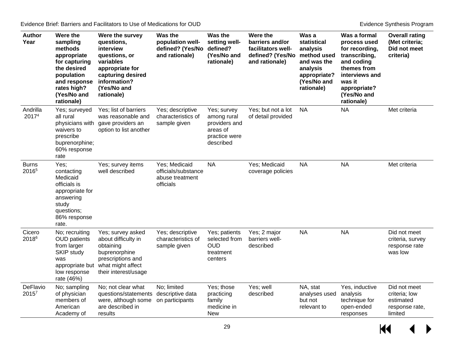| <b>Author</b><br>Year             | Were the<br>sampling<br>methods<br>appropriate<br>for capturing<br>the desired<br>population<br>and response<br>rates high?<br>(Yes/No and<br>rationale) | Were the survey<br>questions,<br>interview<br>questions, or<br>variables<br>appropriate for<br>capturing desired<br>information?<br>(Yes/No and<br>rationale) | Was the<br>population well-<br>defined? (Yes/No<br>and rationale)    | Was the<br>setting well-<br>defined?<br>(Yes/No and<br>rationale)                     | Were the<br>barriers and/or<br>facilitators well-<br>defined? (Yes/No<br>and rationale) | Was a<br>statistical<br>analysis<br>method used<br>and was the<br>analysis<br>appropriate?<br>(Yes/No and<br>rationale) | Was a formal<br>process used<br>for recording,<br>transcribing,<br>and coding<br>themes from<br>interviews and<br>was it<br>appropriate?<br>(Yes/No and<br>rationale) | <b>Overall rating</b><br>(Met criteria;<br>Did not meet<br>criteria)    |
|-----------------------------------|----------------------------------------------------------------------------------------------------------------------------------------------------------|---------------------------------------------------------------------------------------------------------------------------------------------------------------|----------------------------------------------------------------------|---------------------------------------------------------------------------------------|-----------------------------------------------------------------------------------------|-------------------------------------------------------------------------------------------------------------------------|-----------------------------------------------------------------------------------------------------------------------------------------------------------------------|-------------------------------------------------------------------------|
| Andrilla<br>20174                 | Yes; surveyed<br>all rural<br>physicians with<br>waivers to<br>prescribe<br>buprenorphine;<br>60% response<br>rate                                       | Yes; list of barriers<br>was reasonable and<br>gave providers an<br>option to list another                                                                    | Yes; descriptive<br>characteristics of<br>sample given               | Yes; survey<br>among rural<br>providers and<br>areas of<br>practice were<br>described | Yes; but not a lot<br>of detail provided                                                | <b>NA</b>                                                                                                               | <b>NA</b>                                                                                                                                                             | Met criteria                                                            |
| <b>Burns</b><br>2016 <sup>5</sup> | Yes;<br>contacting<br>Medicaid<br>officials is<br>appropriate for<br>answering<br>study<br>questions;<br>86% response<br>rate.                           | Yes; survey items<br>well described                                                                                                                           | Yes; Medicaid<br>officials/substance<br>abuse treatment<br>officials | <b>NA</b>                                                                             | Yes; Medicaid<br>coverage policies                                                      | <b>NA</b>                                                                                                               | <b>NA</b>                                                                                                                                                             | Met criteria                                                            |
| Cicero<br>20186                   | No; recruiting<br><b>OUD</b> patients<br>from larger<br>SKIP study<br>was<br>appropriate but<br>low response<br>rate (46%)                               | Yes; survey asked<br>about difficulty in<br>obtaining<br>buprenorphine<br>prescriptions and<br>what might affect<br>their interest/usage                      | Yes; descriptive<br>characteristics of<br>sample given               | Yes; patients<br>selected from<br><b>OUD</b><br>treatment<br>centers                  | Yes; 2 major<br>barriers well-<br>described                                             | <b>NA</b>                                                                                                               | <b>NA</b>                                                                                                                                                             | Did not meet<br>criteria, survey<br>response rate<br>was low            |
| DeFlavio<br>2015 <sup>7</sup>     | No; sampling<br>of physician<br>members of<br>American<br>Academy of                                                                                     | No; not clear what<br>questions/statements<br>were, although some<br>are described in<br>results                                                              | No; limited<br>descriptive data<br>on participants                   | Yes; those<br>practicing<br>family<br>medicine in<br><b>New</b>                       | Yes; well<br>described                                                                  | NA, stat<br>analyses used<br>but not<br>relevant to                                                                     | Yes, inductive<br>analysis<br>technique for<br>open-ended<br>responses                                                                                                | Did not meet<br>criteria; low<br>estimated<br>response rate,<br>limited |

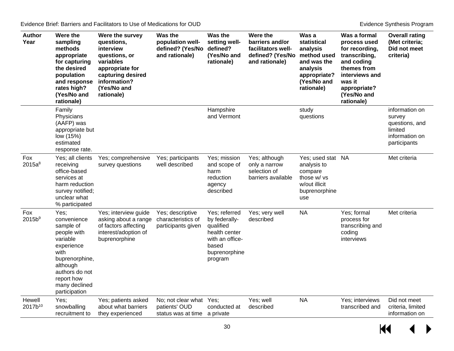| <b>Author</b><br>Year         | Were the<br>sampling<br>methods<br>appropriate<br>for capturing<br>the desired<br>population<br>and response<br>rates high?<br>(Yes/No and<br>rationale)                          | Were the survey<br>questions,<br>interview<br>questions, or<br>variables<br>appropriate for<br>capturing desired<br>information?<br>(Yes/No and<br>rationale) | Was the<br>population well-<br>defined? (Yes/No<br>and rationale)        | Was the<br>setting well-<br>defined?<br>(Yes/No and<br>rationale)                                                    | Were the<br>barriers and/or<br>facilitators well-<br>defined? (Yes/No<br>and rationale) | Was a<br>statistical<br>analysis<br>method used<br>and was the<br>analysis<br>appropriate?<br>(Yes/No and<br>rationale) | Was a formal<br>process used<br>for recording,<br>transcribing,<br>and coding<br>themes from<br>interviews and<br>was it<br>appropriate?<br>(Yes/No and<br>rationale) | <b>Overall rating</b><br>(Met criteria;<br>Did not meet<br>criteria)                    |
|-------------------------------|-----------------------------------------------------------------------------------------------------------------------------------------------------------------------------------|---------------------------------------------------------------------------------------------------------------------------------------------------------------|--------------------------------------------------------------------------|----------------------------------------------------------------------------------------------------------------------|-----------------------------------------------------------------------------------------|-------------------------------------------------------------------------------------------------------------------------|-----------------------------------------------------------------------------------------------------------------------------------------------------------------------|-----------------------------------------------------------------------------------------|
|                               | Family<br>Physicians<br>(AAFP) was<br>appropriate but<br>low (15%)<br>estimated<br>response rate.                                                                                 |                                                                                                                                                               |                                                                          | Hampshire<br>and Vermont                                                                                             |                                                                                         | study<br>questions                                                                                                      |                                                                                                                                                                       | information on<br>survey<br>questions, and<br>limited<br>information on<br>participants |
| Fox<br>$2015a^8$              | Yes; all clients<br>receiving<br>office-based<br>services at<br>harm reduction<br>survey notified;<br>unclear what<br>% participated                                              | Yes; comprehensive<br>survey questions                                                                                                                        | Yes; participants<br>well described                                      | Yes; mission<br>and scope of<br>harm<br>reduction<br>agency<br>described                                             | Yes; although<br>only a narrow<br>selection of<br>barriers available                    | Yes; used stat NA<br>analysis to<br>compare<br>those w/ vs<br>w/out illicit<br>buprenorphine<br>use                     |                                                                                                                                                                       | Met criteria                                                                            |
| Fox<br>2015b <sup>9</sup>     | Yes:<br>convenience<br>sample of<br>people with<br>variable<br>experience<br>with<br>buprenorphine,<br>although<br>authors do not<br>report how<br>many declined<br>participation | Yes; interview guide<br>asking about a range<br>of factors affecting<br>interest/adoption of<br>buprenorphine                                                 | Yes; descriptive<br>characteristics of<br>participants given             | Yes: referred<br>by federally-<br>qualified<br>health center<br>with an office-<br>based<br>buprenorphine<br>program | Yes; very well<br>described                                                             | <b>NA</b>                                                                                                               | Yes; formal<br>process for<br>transcribing and<br>coding<br>interviews                                                                                                | Met criteria                                                                            |
| Hewell<br>2017b <sup>10</sup> | Yes;<br>snowballing<br>recruitment to                                                                                                                                             | Yes; patients asked<br>about what barriers<br>they experienced                                                                                                | No; not clear what Yes;<br>patients' OUD<br>status was at time a private | conducted at                                                                                                         | Yes; well<br>described                                                                  | <b>NA</b>                                                                                                               | Yes; interviews<br>transcribed and                                                                                                                                    | Did not meet<br>criteria, limited<br>information on                                     |

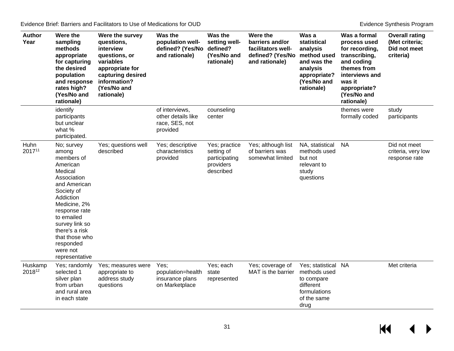| <b>Author</b><br>Year | Were the<br>sampling<br>methods<br>appropriate<br>for capturing<br>the desired<br>population<br>and response<br>rates high?<br>(Yes/No and<br>rationale)                                                                                                           | Were the survey<br>questions,<br>interview<br>questions, or<br>variables<br>appropriate for<br>capturing desired<br>information?<br>(Yes/No and<br>rationale) | Was the<br>population well-<br>defined? (Yes/No<br>and rationale)  | Was the<br>setting well-<br>defined?<br>(Yes/No and<br>rationale)      | Were the<br>barriers and/or<br>facilitators well-<br>defined? (Yes/No<br>and rationale) | Was a<br>statistical<br>analysis<br>method used<br>and was the<br>analysis<br>appropriate?<br>(Yes/No and<br>rationale) | Was a formal<br>process used<br>for recording,<br>transcribing,<br>and coding<br>themes from<br>interviews and<br>was it<br>appropriate?<br>(Yes/No and<br>rationale) | <b>Overall rating</b><br>(Met criteria;<br>Did not meet<br>criteria) |
|-----------------------|--------------------------------------------------------------------------------------------------------------------------------------------------------------------------------------------------------------------------------------------------------------------|---------------------------------------------------------------------------------------------------------------------------------------------------------------|--------------------------------------------------------------------|------------------------------------------------------------------------|-----------------------------------------------------------------------------------------|-------------------------------------------------------------------------------------------------------------------------|-----------------------------------------------------------------------------------------------------------------------------------------------------------------------|----------------------------------------------------------------------|
|                       | identify<br>participants<br>but unclear<br>what %<br>participated.                                                                                                                                                                                                 |                                                                                                                                                               | of interviews,<br>other details like<br>race, SES, not<br>provided | counseling<br>center                                                   |                                                                                         |                                                                                                                         | themes were<br>formally coded                                                                                                                                         | study<br>participants                                                |
| Huhn<br>201711        | No; survey<br>among<br>members of<br>American<br>Medical<br>Association<br>and American<br>Society of<br>Addiction<br>Medicine, 2%<br>response rate<br>to emailed<br>survey link so<br>there's a risk<br>that those who<br>responded<br>were not<br>representative | Yes; questions well<br>described                                                                                                                              | Yes; descriptive<br>characteristics<br>provided                    | Yes; practice<br>setting of<br>participating<br>providers<br>described | Yes; although list<br>of barriers was<br>somewhat limited                               | NA, statistical<br>methods used<br>but not<br>relevant to<br>study<br>questions                                         | <b>NA</b>                                                                                                                                                             | Did not meet<br>criteria, very low<br>response rate                  |
| Huskamp<br>201812     | Yes; randomly<br>selected 1<br>silver plan<br>from urban<br>and rural area<br>in each state                                                                                                                                                                        | Yes; measures were<br>appropriate to<br>address study<br>questions                                                                                            | Yes;<br>population=health<br>insurance plans<br>on Marketplace     | Yes; each<br>state<br>represented                                      | Yes; coverage of<br>MAT is the barrier                                                  | Yes; statistical NA<br>methods used<br>to compare<br>different<br>formulations<br>of the same<br>drug                   |                                                                                                                                                                       | Met criteria                                                         |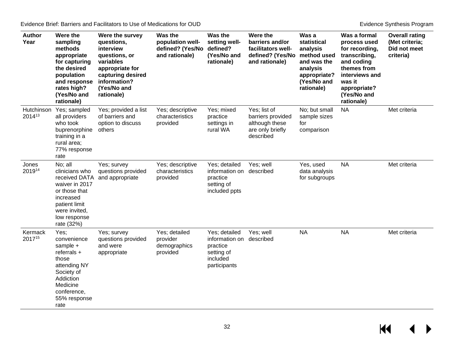| <b>Author</b><br>Year | Were the<br>sampling<br>methods<br>appropriate<br>for capturing<br>the desired<br>population<br>and response<br>rates high?<br>(Yes/No and<br>rationale)   | Were the survey<br>questions,<br>interview<br>questions, or<br>variables<br>appropriate for<br>capturing desired<br>information?<br>(Yes/No and<br>rationale) | Was the<br>population well-<br>defined? (Yes/No<br>and rationale) | Was the<br>setting well-<br>defined?<br>(Yes/No and<br>rationale)                               | Were the<br>barriers and/or<br>facilitators well-<br>defined? (Yes/No<br>and rationale) | Was a<br>statistical<br>analysis<br>method used<br>and was the<br>analysis<br>appropriate?<br>(Yes/No and<br>rationale) | Was a formal<br>process used<br>for recording,<br>transcribing,<br>and coding<br>themes from<br>interviews and<br>was it<br>appropriate?<br>(Yes/No and<br>rationale) | <b>Overall rating</b><br>(Met criteria;<br>Did not meet<br>criteria) |
|-----------------------|------------------------------------------------------------------------------------------------------------------------------------------------------------|---------------------------------------------------------------------------------------------------------------------------------------------------------------|-------------------------------------------------------------------|-------------------------------------------------------------------------------------------------|-----------------------------------------------------------------------------------------|-------------------------------------------------------------------------------------------------------------------------|-----------------------------------------------------------------------------------------------------------------------------------------------------------------------|----------------------------------------------------------------------|
| Hutchinson<br>201413  | Yes; sampled<br>all providers<br>who took<br>buprenorphine<br>training in a<br>rural area;<br>77% response<br>rate                                         | Yes; provided a list<br>of barriers and<br>option to discuss<br>others                                                                                        | Yes; descriptive<br>characteristics<br>provided                   | Yes; mixed<br>practice<br>settings in<br>rural WA                                               | Yes; list of<br>barriers provided<br>although these<br>are only briefly<br>described    | No; but small<br>sample sizes<br>for<br>comparison                                                                      | <b>NA</b>                                                                                                                                                             | Met criteria                                                         |
| Jones<br>201914       | No; all<br>clinicians who<br>received DATA<br>waiver in 2017<br>or those that<br>increased<br>patient limit<br>were invited,<br>low response<br>rate (32%) | Yes; survey<br>questions provided<br>and appropriate                                                                                                          | Yes; descriptive<br>characteristics<br>provided                   | Yes; detailed<br>information on described<br>practice<br>setting of<br>included ppts            | Yes; well                                                                               | Yes, used<br>data analysis<br>for subgroups                                                                             | <b>NA</b>                                                                                                                                                             | Met criteria                                                         |
| Kermack<br>201715     | Yes;<br>convenience<br>sample +<br>$referrals +$<br>those<br>attending NY<br>Society of<br>Addiction<br>Medicine<br>conference,<br>55% response<br>rate    | Yes; survey<br>questions provided<br>and were<br>appropriate                                                                                                  | Yes; detailed<br>provider<br>demographics<br>provided             | Yes; detailed<br>information on described<br>practice<br>setting of<br>included<br>participants | Yes; well                                                                               | <b>NA</b>                                                                                                               | <b>NA</b>                                                                                                                                                             | Met criteria                                                         |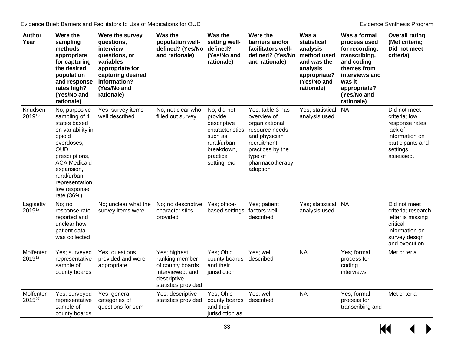| <b>Author</b><br>Year           | Were the<br>sampling<br>methods<br>appropriate<br>for capturing<br>the desired<br>population<br>and response<br>rates high?<br>(Yes/No and<br>rationale)                                                                         | Were the survey<br>questions,<br>interview<br>questions, or<br>variables<br>appropriate for<br>capturing desired<br>information?<br>(Yes/No and<br>rationale) | Was the<br>population well-<br>defined? (Yes/No<br>and rationale)                                            | Was the<br>setting well-<br>defined?<br>(Yes/No and<br>rationale)                                                            | Were the<br>barriers and/or<br>facilitators well-<br>defined? (Yes/No<br>and rationale)                                                                           | Was a<br>statistical<br>analysis<br>method used<br>and was the<br>analysis<br>appropriate?<br>(Yes/No and<br>rationale) | Was a formal<br>process used<br>for recording,<br>transcribing,<br>and coding<br>themes from<br>interviews and<br>was it<br>appropriate?<br>(Yes/No and<br>rationale) | <b>Overall rating</b><br>(Met criteria;<br>Did not meet<br>criteria)                                                       |
|---------------------------------|----------------------------------------------------------------------------------------------------------------------------------------------------------------------------------------------------------------------------------|---------------------------------------------------------------------------------------------------------------------------------------------------------------|--------------------------------------------------------------------------------------------------------------|------------------------------------------------------------------------------------------------------------------------------|-------------------------------------------------------------------------------------------------------------------------------------------------------------------|-------------------------------------------------------------------------------------------------------------------------|-----------------------------------------------------------------------------------------------------------------------------------------------------------------------|----------------------------------------------------------------------------------------------------------------------------|
| Knudsen<br>201916               | No; purposive<br>sampling of 4<br>states based<br>on variability in<br>opioid<br>overdoses,<br><b>OUD</b><br>prescriptions,<br><b>ACA Medicaid</b><br>expansion,<br>rural/urban<br>representation,<br>low response<br>rate (36%) | Yes; survey items<br>well described                                                                                                                           | No; not clear who<br>filled out survey                                                                       | No; did not<br>provide<br>descriptive<br>characteristics<br>such as<br>rural/urban<br>breakdown,<br>practice<br>setting, etc | Yes; table 3 has<br>overview of<br>organizational<br>resource needs<br>and physician<br>recruitment<br>practices by the<br>type of<br>pharmacotherapy<br>adoption | Yes; statistical<br>analysis used                                                                                       | <b>NA</b>                                                                                                                                                             | Did not meet<br>criteria; low<br>response rates,<br>lack of<br>information on<br>participants and<br>settings<br>assessed. |
| Lagisetty<br>201917             | No; no<br>response rate<br>reported and<br>unclear how<br>patient data<br>was collected                                                                                                                                          | No; unclear what the<br>survey items were                                                                                                                     | No; no descriptive<br>characteristics<br>provided                                                            | Yes; office-<br>based settings                                                                                               | Yes; patient<br>factors well<br>described                                                                                                                         | Yes; statistical NA<br>analysis used                                                                                    |                                                                                                                                                                       | Did not meet<br>criteria; research<br>letter is missing<br>critical<br>information on<br>survey design<br>and execution.   |
| Molfenter<br>201918             | Yes; surveyed<br>representative<br>sample of<br>county boards                                                                                                                                                                    | Yes; questions<br>provided and were<br>appropriate                                                                                                            | Yes; highest<br>ranking member<br>of county boards<br>interviewed, and<br>descriptive<br>statistics provided | Yes; Ohio<br>county boards<br>and their<br>jurisdiction                                                                      | Yes; well<br>described                                                                                                                                            | <b>NA</b>                                                                                                               | Yes; formal<br>process for<br>coding<br>interviews                                                                                                                    | Met criteria                                                                                                               |
| Molfenter<br>2015 <sup>27</sup> | Yes; surveyed<br>representative<br>sample of<br>county boards                                                                                                                                                                    | Yes; general<br>categories of<br>questions for semi-                                                                                                          | Yes; descriptive<br>statistics provided                                                                      | Yes; Ohio<br>county boards<br>and their<br>jurisdiction as                                                                   | Yes; well<br>described                                                                                                                                            | <b>NA</b>                                                                                                               | Yes; formal<br>process for<br>transcribing and                                                                                                                        | Met criteria                                                                                                               |

 $M \leftarrow \leftarrow$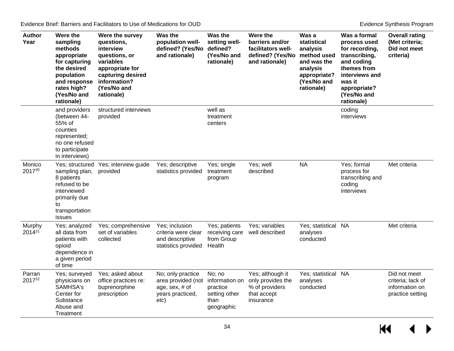| <b>Author</b><br>Year | Were the<br>sampling<br>methods<br>appropriate<br>for capturing<br>the desired<br>population<br>and response<br>rates high?<br>(Yes/No and<br>rationale) | Were the survey<br>questions,<br>interview<br>questions, or<br>variables<br>appropriate for<br>capturing desired<br>information?<br>(Yes/No and<br>rationale) | Was the<br>population well-<br>defined? (Yes/No<br>and rationale)                     | Was the<br>setting well-<br>defined?<br>(Yes/No and<br>rationale)           | Were the<br>barriers and/or<br>facilitators well-<br>defined? (Yes/No<br>and rationale) | Was a<br>statistical<br>analysis<br>method used<br>and was the<br>analysis<br>appropriate?<br>(Yes/No and<br>rationale) | Was a formal<br>process used<br>for recording,<br>transcribing,<br>and coding<br>themes from<br>interviews and<br>was it<br>appropriate?<br>(Yes/No and<br>rationale) | <b>Overall rating</b><br>(Met criteria;<br>Did not meet<br>criteria)    |
|-----------------------|----------------------------------------------------------------------------------------------------------------------------------------------------------|---------------------------------------------------------------------------------------------------------------------------------------------------------------|---------------------------------------------------------------------------------------|-----------------------------------------------------------------------------|-----------------------------------------------------------------------------------------|-------------------------------------------------------------------------------------------------------------------------|-----------------------------------------------------------------------------------------------------------------------------------------------------------------------|-------------------------------------------------------------------------|
|                       | and providers<br>(between 44-<br>55% of<br>counties<br>represented;<br>no one refused<br>to participate<br>in interviews)                                | structured interviews<br>provided                                                                                                                             |                                                                                       | well as<br>treatment<br>centers                                             |                                                                                         |                                                                                                                         | coding<br>interviews                                                                                                                                                  |                                                                         |
| Monico<br>201720      | sampling plan,<br>8 patients<br>refused to be<br>interviewed<br>primarily due<br>to<br>transportation<br>issues                                          | Yes; structured Yes; interview guide<br>provided                                                                                                              | Yes; descriptive<br>statistics provided                                               | Yes; single<br>treatment<br>program                                         | Yes; well<br>described                                                                  | <b>NA</b>                                                                                                               | Yes; formal<br>process for<br>transcribing and<br>coding<br>interviews                                                                                                | Met criteria                                                            |
| Murphy<br>$2014^{21}$ | Yes; analyzed<br>all data from<br>patients with<br>opioid<br>dependence in<br>a given period<br>of time                                                  | Yes; comprehensive<br>set of variables<br>collected                                                                                                           | Yes; inclusion<br>criteria were clear<br>and descriptive<br>statistics provided       | Yes; patients<br>receiving care<br>from Group<br>Health                     | Yes; variables<br>well described                                                        | Yes; statistical NA<br>analyses<br>conducted                                                                            |                                                                                                                                                                       | Met criteria                                                            |
| Parran<br>201722      | Yes; surveyed<br>physicians on<br>SAMHSA's<br>Center for<br>Substance<br>Abuse and<br>Treatment                                                          | Yes; asked about<br>office practices re:<br>buprenorphine<br>prescription                                                                                     | No; only practice<br>area provided (not<br>age, sex, # of<br>years practiced,<br>etc) | No; no<br>information on<br>practice<br>setting other<br>than<br>geographic | Yes; although it<br>only provides the<br>% of providers<br>that accept<br>insurance     | Yes; statistical NA<br>analyses<br>conducted                                                                            |                                                                                                                                                                       | Did not meet<br>criteria; lack of<br>information on<br>practice setting |

 $H$  $\leftrightarrow$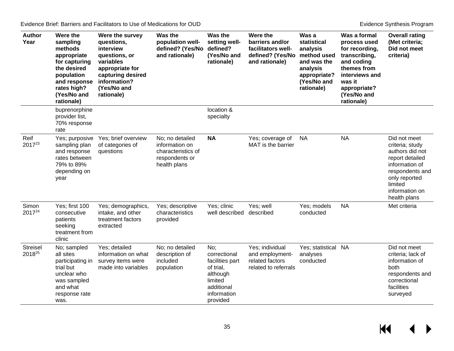| <b>Author</b><br>Year     | Were the<br>sampling<br>methods<br>appropriate<br>for capturing<br>the desired<br>population<br>and response<br>rates high?<br>(Yes/No and<br>rationale) | Were the survey<br>questions,<br>interview<br>questions, or<br>variables<br>appropriate for<br>capturing desired<br>information?<br>(Yes/No and<br>rationale) | Was the<br>population well-<br>defined? (Yes/No defined?<br>and rationale)                | Was the<br>setting well-<br>(Yes/No and<br>rationale)                                                               | Were the<br>barriers and/or<br>facilitators well-<br>defined? (Yes/No<br>and rationale) | Was a<br>statistical<br>analysis<br>method used<br>and was the<br>analysis<br>appropriate?<br>(Yes/No and<br>rationale) | Was a formal<br>process used<br>for recording,<br>transcribing,<br>and coding<br>themes from<br>interviews and<br>was it<br>appropriate?<br>(Yes/No and<br>rationale) | <b>Overall rating</b><br>(Met criteria;<br>Did not meet<br>criteria)                                                                                                     |
|---------------------------|----------------------------------------------------------------------------------------------------------------------------------------------------------|---------------------------------------------------------------------------------------------------------------------------------------------------------------|-------------------------------------------------------------------------------------------|---------------------------------------------------------------------------------------------------------------------|-----------------------------------------------------------------------------------------|-------------------------------------------------------------------------------------------------------------------------|-----------------------------------------------------------------------------------------------------------------------------------------------------------------------|--------------------------------------------------------------------------------------------------------------------------------------------------------------------------|
|                           | buprenorphine<br>provider list,<br>70% response<br>rate                                                                                                  |                                                                                                                                                               |                                                                                           | location &<br>specialty                                                                                             |                                                                                         |                                                                                                                         |                                                                                                                                                                       |                                                                                                                                                                          |
| Reif<br>201723            | Yes; purposive<br>sampling plan<br>and response<br>rates between<br>79% to 89%<br>depending on<br>year                                                   | Yes; brief overview<br>of categories of<br>questions                                                                                                          | No; no detailed<br>information on<br>characteristics of<br>respondents or<br>health plans | <b>NA</b>                                                                                                           | Yes; coverage of<br>MAT is the barrier                                                  | <b>NA</b>                                                                                                               | <b>NA</b>                                                                                                                                                             | Did not meet<br>criteria; study<br>authors did not<br>report detailed<br>information of<br>respondents and<br>only reported<br>limited<br>information on<br>health plans |
| Simon<br>201724           | Yes; first 100<br>consecutive<br>patients<br>seeking<br>treatment from<br>clinic                                                                         | Yes; demographics,<br>intake, and other<br>treatment factors<br>extracted                                                                                     | Yes; descriptive<br>characteristics<br>provided                                           | Yes; clinic<br>well described                                                                                       | Yes; well<br>described                                                                  | Yes; models<br>conducted                                                                                                | <b>NA</b>                                                                                                                                                             | Met criteria                                                                                                                                                             |
| <b>Streisel</b><br>201825 | No; sampled<br>all sites<br>participating in<br>trial but<br>unclear who<br>was sampled<br>and what<br>response rate<br>was.                             | Yes; detailed<br>information on what<br>survey items were<br>made into variables                                                                              | No; no detailed<br>description of<br>included<br>population                               | No;<br>correctional<br>facilities part<br>of trial,<br>although<br>limited<br>additional<br>information<br>provided | Yes; individual<br>and employment-<br>related factors<br>related to referrals           | Yes; statistical NA<br>analyses<br>conducted                                                                            |                                                                                                                                                                       | Did not meet<br>criteria; lack of<br>information of<br>both<br>respondents and<br>correctional<br>facilities<br>surveyed                                                 |

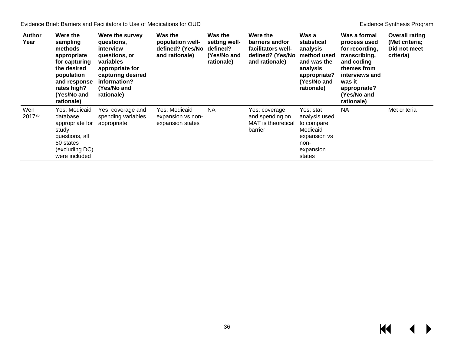| <b>Author</b><br>Year     | Were the<br>sampling<br>methods<br>appropriate<br>for capturing<br>the desired<br>population<br>and response<br>rates high?<br>(Yes/No and<br>rationale) | Were the survey<br>questions,<br><b>interview</b><br>questions, or<br>variables<br>appropriate for<br>capturing desired<br>information?<br>(Yes/No and<br>rationale) | Was the<br>population well-<br>defined? (Yes/No<br>and rationale) | Was the<br>setting well-<br>defined?<br>(Yes/No and<br>rationale) | Were the<br>barriers and/or<br>facilitators well-<br>defined? (Yes/No<br>and rationale) | Was a<br>statistical<br>analysis<br>method used<br>and was the<br>analysis<br>appropriate?<br>(Yes/No and<br>rationale) | Was a formal<br>process used<br>for recording.<br>transcribing,<br>and coding<br>themes from<br>interviews and<br>was it<br>appropriate?<br>(Yes/No and<br>rationale) | <b>Overall rating</b><br>(Met criteria;<br>Did not meet<br>criteria) |
|---------------------------|----------------------------------------------------------------------------------------------------------------------------------------------------------|----------------------------------------------------------------------------------------------------------------------------------------------------------------------|-------------------------------------------------------------------|-------------------------------------------------------------------|-----------------------------------------------------------------------------------------|-------------------------------------------------------------------------------------------------------------------------|-----------------------------------------------------------------------------------------------------------------------------------------------------------------------|----------------------------------------------------------------------|
| Wen<br>2017 <sup>26</sup> | Yes; Medicaid<br>database<br>appropriate for<br>study<br>questions, all<br>50 states<br>(excluding DC)<br>were included                                  | Yes; coverage and<br>spending variables<br>appropriate                                                                                                               | Yes; Medicaid<br>expansion vs non-<br>expansion states            | <b>NA</b>                                                         | Yes; coverage<br>and spending on<br>MAT is theoretical<br>barrier                       | Yes; stat<br>analysis used<br>to compare<br>Medicaid<br>expansion vs<br>non-<br>expansion<br>states                     | <b>NA</b>                                                                                                                                                             | Met criteria                                                         |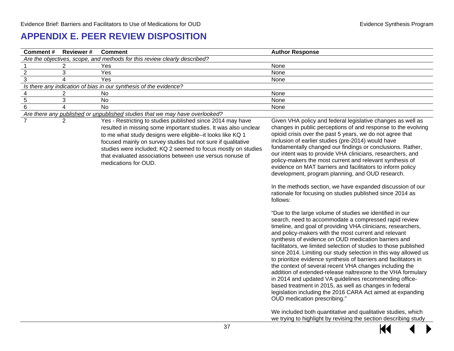### **APPENDIX E. PEER REVIEW DISPOSITION**

<span id="page-38-0"></span>

| Comment#                | <b>Reviewer#</b>        | <b>Comment</b>                                                                                                                                                                                                                                                                                                                                                                                                   | <b>Author Response</b>                                                                                                                                                                                                                                                                                                                                                                                                                                                                                                                                                                                                                                                                                                                                                                                                |
|-------------------------|-------------------------|------------------------------------------------------------------------------------------------------------------------------------------------------------------------------------------------------------------------------------------------------------------------------------------------------------------------------------------------------------------------------------------------------------------|-----------------------------------------------------------------------------------------------------------------------------------------------------------------------------------------------------------------------------------------------------------------------------------------------------------------------------------------------------------------------------------------------------------------------------------------------------------------------------------------------------------------------------------------------------------------------------------------------------------------------------------------------------------------------------------------------------------------------------------------------------------------------------------------------------------------------|
|                         |                         | Are the objectives, scope, and methods for this review clearly described?                                                                                                                                                                                                                                                                                                                                        |                                                                                                                                                                                                                                                                                                                                                                                                                                                                                                                                                                                                                                                                                                                                                                                                                       |
|                         | 2                       | Yes                                                                                                                                                                                                                                                                                                                                                                                                              | None                                                                                                                                                                                                                                                                                                                                                                                                                                                                                                                                                                                                                                                                                                                                                                                                                  |
| $\overline{2}$          | 3                       | Yes                                                                                                                                                                                                                                                                                                                                                                                                              | None                                                                                                                                                                                                                                                                                                                                                                                                                                                                                                                                                                                                                                                                                                                                                                                                                  |
| 3                       | $\overline{\mathbf{4}}$ | Yes                                                                                                                                                                                                                                                                                                                                                                                                              | None                                                                                                                                                                                                                                                                                                                                                                                                                                                                                                                                                                                                                                                                                                                                                                                                                  |
|                         |                         | Is there any indication of bias in our synthesis of the evidence?                                                                                                                                                                                                                                                                                                                                                |                                                                                                                                                                                                                                                                                                                                                                                                                                                                                                                                                                                                                                                                                                                                                                                                                       |
| $\overline{\mathbf{4}}$ | $\overline{c}$          | No                                                                                                                                                                                                                                                                                                                                                                                                               | None                                                                                                                                                                                                                                                                                                                                                                                                                                                                                                                                                                                                                                                                                                                                                                                                                  |
| $\overline{5}$          | 3                       | No                                                                                                                                                                                                                                                                                                                                                                                                               | None                                                                                                                                                                                                                                                                                                                                                                                                                                                                                                                                                                                                                                                                                                                                                                                                                  |
| $\overline{6}$          | $\overline{4}$          | $\overline{N}$                                                                                                                                                                                                                                                                                                                                                                                                   | None                                                                                                                                                                                                                                                                                                                                                                                                                                                                                                                                                                                                                                                                                                                                                                                                                  |
|                         |                         | Are there any published or unpublished studies that we may have overlooked?                                                                                                                                                                                                                                                                                                                                      |                                                                                                                                                                                                                                                                                                                                                                                                                                                                                                                                                                                                                                                                                                                                                                                                                       |
| $\overline{7}$          | $\overline{2}$          | Yes - Restricting to studies published since 2014 may have<br>resulted in missing some important studies. It was also unclear<br>to me what study designs were eligible--it looks like KQ 1<br>focused mainly on survey studies but not sure if qualitative<br>studies were included; KQ 2 seemed to focus mostly on studies<br>that evaluated associations between use versus nonuse of<br>medications for OUD. | Given VHA policy and federal legislative changes as well as<br>changes in public perceptions of and response to the evolving<br>opioid crisis over the past 5 years, we do not agree that<br>inclusion of earlier studies (pre-2014) would have<br>fundamentally changed our findings or conclusions. Rather,<br>our intent was to provide VHA clinicians, researchers, and<br>policy-makers the most current and relevant synthesis of<br>evidence on MAT barriers and facilitators to inform policy<br>development, program planning, and OUD research.<br>In the methods section, we have expanded discussion of our<br>rationale for focusing on studies published since 2014 as<br>follows:<br>"Due to the large volume of studies we identified in our<br>search, need to accommodate a compressed rapid review |
|                         |                         |                                                                                                                                                                                                                                                                                                                                                                                                                  | timeline, and goal of providing VHA clinicians, researchers,<br>and policy-makers with the most current and relevant<br>synthesis of evidence on OUD medication barriers and<br>facilitators, we limited selection of studies to those published<br>since 2014. Limiting our study selection in this way allowed us<br>to prioritize evidence synthesis of barriers and facilitators in<br>the context of several recent VHA changes including the<br>addition of extended-release naltrexone to the VHA formulary<br>in 2014 and updated VA guidelines recommending office-<br>based treatment in 2015, as well as changes in federal<br>legislation including the 2016 CARA Act aimed at expanding<br>OUD medication prescribing."                                                                                  |
|                         |                         |                                                                                                                                                                                                                                                                                                                                                                                                                  | We included both quantitative and qualitative studies, which<br>we trying to highlight by revising the section describing study                                                                                                                                                                                                                                                                                                                                                                                                                                                                                                                                                                                                                                                                                       |

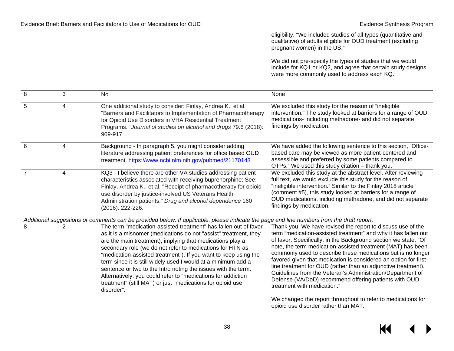eligibility, "We included studies of all types (quantitative and qualitative) of adults eligible for OUD treatment (excluding pregnant women) in the US."

We did not pre-specify the types of studies that we would include for KQ1 or KQ2, and agree that certain study designs were more commonly used to address each KQ.

| 8 | 3              | No                                                                                                                                                                                                                                                                                                                                                                                                                                                                                                                                                                                                              | None                                                                                                                                                                                                                                                                                                                                                                                                                                                                                                                                                                                                                       |
|---|----------------|-----------------------------------------------------------------------------------------------------------------------------------------------------------------------------------------------------------------------------------------------------------------------------------------------------------------------------------------------------------------------------------------------------------------------------------------------------------------------------------------------------------------------------------------------------------------------------------------------------------------|----------------------------------------------------------------------------------------------------------------------------------------------------------------------------------------------------------------------------------------------------------------------------------------------------------------------------------------------------------------------------------------------------------------------------------------------------------------------------------------------------------------------------------------------------------------------------------------------------------------------------|
| 5 | 4              | One additional study to consider: Finlay, Andrea K., et al.<br>"Barriers and Facilitators to Implementation of Pharmacotherapy<br>for Opioid Use Disorders in VHA Residential Treatment<br>Programs." Journal of studies on alcohol and drugs 79.6 (2018):<br>909-917.                                                                                                                                                                                                                                                                                                                                          | We excluded this study for the reason of "ineligible"<br>intervention." The study looked at barriers for a range of OUD<br>medications- including methadone- and did not separate<br>findings by medication.                                                                                                                                                                                                                                                                                                                                                                                                               |
| 6 | 4              | Background - In paragraph 5, you might consider adding<br>literature addressing patient preferences for office based OUD<br>treatment. https://www.ncbi.nlm.nih.gov/pubmed/21170143                                                                                                                                                                                                                                                                                                                                                                                                                             | We have added the following sentence to this section, "Office-<br>based care may be viewed as more patient-centered and<br>assessible and preferred by some patients compared to<br>OTPs." We used this study citation – thank you.                                                                                                                                                                                                                                                                                                                                                                                        |
| 7 | 4              | KQ3 - I believe there are other VA studies addressing patient<br>characteristics associated with receiving buprenorphine: See:<br>Finlay, Andrea K., et al. "Receipt of pharmacotherapy for opioid<br>use disorder by justice-involved US Veterans Health<br>Administration patients." Drug and alcohol dependence 160<br>(2016): 222-226.                                                                                                                                                                                                                                                                      | We excluded this study at the abstract level. After reviewing<br>full text, we would exclude this study for the reason of<br>"ineligible intervention." Similar to the Finlay 2018 article<br>(comment #5), this study looked at barriers for a range of<br>OUD medications, including methadone, and did not separate<br>findings by medication.                                                                                                                                                                                                                                                                          |
|   |                | Additional suggestions or comments can be provided below. If applicable, please indicate the page and line numbers from the draft report.                                                                                                                                                                                                                                                                                                                                                                                                                                                                       |                                                                                                                                                                                                                                                                                                                                                                                                                                                                                                                                                                                                                            |
| 8 | $\overline{2}$ | The term "medication-assisted treatment" has fallen out of favor<br>as it is a misnomer (medications do not "assist" treatment, they<br>are the main treatment), implying that medications play a<br>secondary role (we do not refer to medications for HTN as<br>"medication-assisted treatment"). If you want to keep using the<br>term since it is still widely used I would at a minimum add a<br>sentence or two to the Intro noting the issues with the term.<br>Alternatively, you could refer to "medications for addiction<br>treatment" (still MAT) or just "medications for opioid use<br>disorder". | Thank you. We have revised the report to discuss use of the<br>term "medication-assisted treatment" and why it has fallen out<br>of favor. Specifically, in the Background section we state, "Of<br>note, the term medication-assisted treatment (MAT) has been<br>commonly used to describe these medications but is no longer<br>favored given that medication is considered an option for first-<br>line treatment for OUD (rather than an adjunctive treatment).<br>Guidelines from the Veteran's Administration/Department of<br>Defense (VA/DoD) recommend offering patients with OUD<br>treatment with medication." |
|   |                |                                                                                                                                                                                                                                                                                                                                                                                                                                                                                                                                                                                                                 | We changed the report throughout to refer to medications for<br>opioid use disorder rather than MAT.                                                                                                                                                                                                                                                                                                                                                                                                                                                                                                                       |

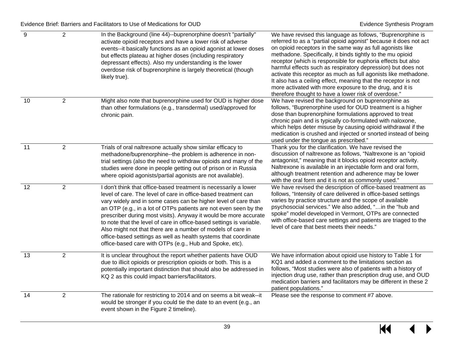| $9\,$ | $\overline{2}$ | In the Background (line 44)--buprenorphine doesn't "partially"<br>activate opioid receptors and have a lower risk of adverse<br>events--it basically functions as an opioid agonist at lower doses<br>but effects plateau at higher doses (including respiratory<br>depressant effects). Also my understanding is the lower<br>overdose risk of buprenorphine is largely theoretical (though<br>likely true).                                                                                                                                                                                                     | We have revised this language as follows, "Buprenorphine is<br>referred to as a "partial opioid agonist" because it does not act<br>on opioid receptors in the same way as full agonists like<br>methadone. Specifically, it binds tightly to the mu opioid<br>receptor (which is responsible for euphoria effects but also<br>harmful effects such as respiratory depression) but does not<br>activate this receptor as much as full agonists like methadone.<br>It also has a ceiling effect, meaning that the receptor is not<br>more activated with more exposure to the drug, and it is<br>therefore thought to have a lower risk of overdose." |
|-------|----------------|-------------------------------------------------------------------------------------------------------------------------------------------------------------------------------------------------------------------------------------------------------------------------------------------------------------------------------------------------------------------------------------------------------------------------------------------------------------------------------------------------------------------------------------------------------------------------------------------------------------------|------------------------------------------------------------------------------------------------------------------------------------------------------------------------------------------------------------------------------------------------------------------------------------------------------------------------------------------------------------------------------------------------------------------------------------------------------------------------------------------------------------------------------------------------------------------------------------------------------------------------------------------------------|
| 10    | $\overline{2}$ | Might also note that buprenorphine used for OUD is higher dose<br>than other formulations (e.g., transdermal) used/approved for<br>chronic pain.                                                                                                                                                                                                                                                                                                                                                                                                                                                                  | We have revised the background on buprenorphine as<br>follows, "Buprenorphine used for OUD treatment is a higher<br>dose than buprenorphine formulations approved to treat<br>chronic pain and is typically co-formulated with naloxone,<br>which helps deter misuse by causing opioid withdrawal if the<br>medication is crushed and injected or snorted instead of being<br>used under the tongue as prescribed."                                                                                                                                                                                                                                  |
| 11    | $\overline{2}$ | Trials of oral naltrexone actually show similar efficacy to<br>methadone/buprenorphine--the problem is adherence in non-<br>trial settings (also the need to withdraw opioids and many of the<br>studies were done in people getting out of prison or in Russia<br>where opioid agonists/partial agonists are not available).                                                                                                                                                                                                                                                                                     | Thank you for the clarification. We have revised the<br>discussion of naltrexone as follows, "Naltrexone is an "opioid<br>antagonist," meaning that it blocks opioid receptor activity.<br>Naltrexone is available in an injectable form and oral form,<br>although treatment retention and adherence may be lower<br>with the oral form and it is not as commonly used."                                                                                                                                                                                                                                                                            |
| 12    | $\overline{2}$ | I don't think that office-based treatment is necessarily a lower<br>level of care. The level of care in office-based treatment can<br>vary widely and in some cases can be higher level of care than<br>an OTP (e.g., in a lot of OTPs patients are not even seen by the<br>prescriber during most visits). Anyway it would be more accurate<br>to note that the level of care in office-based settings is variable.<br>Also might not that there are a number of models of care in<br>office-based settings as well as health systems that coordinate<br>office-based care with OTPs (e.g., Hub and Spoke, etc). | We have revised the description of office-based treatment as<br>follows, "Intensity of care delivered in office-based settings<br>varies by practice structure and the scope of available<br>psychosocial services." We also added, " in the "hub and<br>spoke" model developed in Vermont, OTPs are connected<br>with office-based care settings and patients are triaged to the<br>level of care that best meets their needs."                                                                                                                                                                                                                     |
| 13    | $\overline{2}$ | It is unclear throughout the report whether patients have OUD<br>due to illicit opioids or prescription opioids or both. This is a<br>potentially important distinction that should also be addressed in<br>KQ 2 as this could impact barriers/facilitators.                                                                                                                                                                                                                                                                                                                                                      | We have information about opioid use history to Table 1 for<br>KQ1 and added a comment to the limitations section as<br>follows, "Most studies were also of patients with a history of<br>injection drug use, rather than prescription drug use, and OUD<br>medication barriers and facilitators may be different in these 2<br>patient populations."                                                                                                                                                                                                                                                                                                |
| 14    | $\overline{c}$ | The rationale for restricting to 2014 and on seems a bit weak--it<br>would be stronger if you could tie the date to an event (e.g., an<br>event shown in the Figure 2 timeline).                                                                                                                                                                                                                                                                                                                                                                                                                                  | Please see the response to comment #7 above.                                                                                                                                                                                                                                                                                                                                                                                                                                                                                                                                                                                                         |

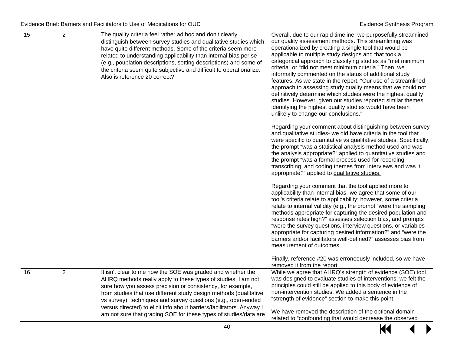| $\overline{15}$ | $\overline{2}$ | The quality criteria feel rather ad hoc and don't clearly<br>distinguish between survey studies and qualitative studies which<br>have quite different methods. Some of the criteria seem more<br>related to understanding applicability than internal bias per se<br>(e.g., pouplation descriptions, setting descriptions) and some of<br>the criteria seem quite subjective and difficult to operationalize.<br>Also is reference 20 correct?                                | Overall, due to our rapid timeline, we purposefully streamlined<br>our quality assessment methods. This streamlining was<br>operationalized by creating a single tool that would be<br>applicable to multiple study designs and that took a<br>categorical approach to classifying studies as "met minimum<br>criteria" or "did not meet minimum criteria." Then, we<br>informally commented on the status of additional study<br>features. As we state in the report, "Our use of a streamlined<br>approach to assessing study quality means that we could not<br>definitively determine which studies were the highest quality<br>studies. However, given our studies reported similar themes,<br>identifying the highest quality studies would have been<br>unlikely to change our conclusions."<br>Regarding your comment about distinguishing between survey<br>and qualitative studies- we did have criteria in the tool that<br>were specific to quantitative vs qualitative studies. Specifically,<br>the prompt "was a statistical analysis method used and was<br>the analysis appropriate?" applied to quantitative studies and<br>the prompt "was a formal process used for recording, |
|-----------------|----------------|-------------------------------------------------------------------------------------------------------------------------------------------------------------------------------------------------------------------------------------------------------------------------------------------------------------------------------------------------------------------------------------------------------------------------------------------------------------------------------|----------------------------------------------------------------------------------------------------------------------------------------------------------------------------------------------------------------------------------------------------------------------------------------------------------------------------------------------------------------------------------------------------------------------------------------------------------------------------------------------------------------------------------------------------------------------------------------------------------------------------------------------------------------------------------------------------------------------------------------------------------------------------------------------------------------------------------------------------------------------------------------------------------------------------------------------------------------------------------------------------------------------------------------------------------------------------------------------------------------------------------------------------------------------------------------------------|
|                 |                |                                                                                                                                                                                                                                                                                                                                                                                                                                                                               | transcribing, and coding themes from interviews and was it<br>appropriate?" applied to qualitative studies.                                                                                                                                                                                                                                                                                                                                                                                                                                                                                                                                                                                                                                                                                                                                                                                                                                                                                                                                                                                                                                                                                        |
|                 |                |                                                                                                                                                                                                                                                                                                                                                                                                                                                                               | Regarding your comment that the tool applied more to<br>applicability than internal bias- we agree that some of our<br>tool's criteria relate to applicability; however, some criteria<br>relate to internal validity (e.g., the prompt "were the sampling<br>methods appropriate for capturing the desired population and<br>response rates high?" assesses selection bias, and prompts<br>"were the survey questions, interview questions, or variables<br>appropriate for capturing desired information?" and "were the<br>barriers and/or facilitators well-defined?" assesses bias from<br>measurement of outcomes.                                                                                                                                                                                                                                                                                                                                                                                                                                                                                                                                                                           |
|                 |                |                                                                                                                                                                                                                                                                                                                                                                                                                                                                               | Finally, reference #20 was erroneously included, so we have<br>removed it from the report.                                                                                                                                                                                                                                                                                                                                                                                                                                                                                                                                                                                                                                                                                                                                                                                                                                                                                                                                                                                                                                                                                                         |
| 16              | $\overline{2}$ | It isn't clear to me how the SOE was graded and whether the<br>AHRQ methods really apply to these types of studies. I am not<br>sure how you assess precision or consistency, for example,<br>from studies that use different study design methods (qualitative<br>vs survey), techniques and survey questions (e.g., open-ended<br>versus directed) to elicit info about barriers/facilitators. Anyway I<br>am not sure that grading SOE for these types of studies/data are | While we agree that AHRQ's strength of evidence (SOE) tool<br>was designed to evaluate studies of interventions, we felt the<br>principles could still be applied to this body of evidence of<br>non-intervention studies. We added a sentence in the<br>"strength of evidence" section to make this point.<br>We have removed the description of the optional domain<br>related to "confounding that would decrease the observed                                                                                                                                                                                                                                                                                                                                                                                                                                                                                                                                                                                                                                                                                                                                                                  |

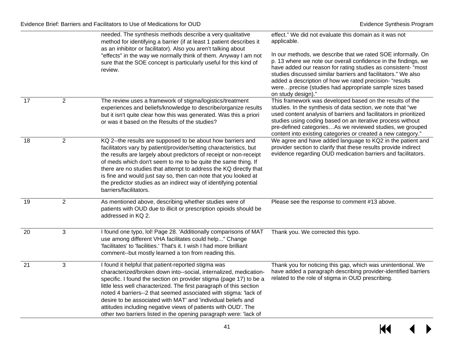|                 |                | needed. The synthesis methods describe a very qualitative<br>method for identifying a barrier (if at least 1 patient describes it<br>as an inhibitor or facilitator). Also you aren't talking about<br>"effects" in the way we normally think of them. Anyway I am not<br>sure that the SOE concept is particularly useful for this kind of<br>review.                                                                                                                                                                                           | effect." We did not evaluate this domain as it was not<br>applicable.<br>In our methods, we describe that we rated SOE informally. On<br>p. 13 where we note our overall confidence in the findings, we<br>have added our reason for rating studies as consistent- "most<br>studies discussed similar barriers and facilitators." We also<br>added a description of how we rated precision- "results<br>wereprecise (studies had appropriate sample sizes based<br>on study design)." |
|-----------------|----------------|--------------------------------------------------------------------------------------------------------------------------------------------------------------------------------------------------------------------------------------------------------------------------------------------------------------------------------------------------------------------------------------------------------------------------------------------------------------------------------------------------------------------------------------------------|---------------------------------------------------------------------------------------------------------------------------------------------------------------------------------------------------------------------------------------------------------------------------------------------------------------------------------------------------------------------------------------------------------------------------------------------------------------------------------------|
| $\overline{17}$ | $\overline{2}$ | The review uses a framework of stigma/logistics/treatment<br>experiences and beliefs/knowledge to describe/organize results<br>but it isn't quite clear how this was generated. Was this a priori<br>or was it based on the Results of the studies?                                                                                                                                                                                                                                                                                              | This framework was developed based on the results of the<br>studies. In the synthesis of data section, we note that "we<br>used content analysis of barriers and facilitators in prioritized<br>studies using coding based on an iterative process without<br>pre-defined categoriesAs we reviewed studies, we grouped<br>content into existing categories or created a new category."                                                                                                |
| 18              | $\overline{2}$ | KQ 2--the results are supposed to be about how barriers and<br>facilitators vary by patient/provider/setting characteristics, but<br>the results are largely about predictors of receipt or non-receipt<br>of meds which don't seem to me to be quite the same thing. If<br>there are no studies that attempt to address the KQ directly that<br>is fine and would just say so, then can note that you looked at<br>the predictor studies as an indirect way of identifying potential<br>barriers/facilitators.                                  | We agree and have added language to KQ2 in the patient and<br>provider section to clarify that these results provide indirect<br>evidence regarding OUD medication barriers and facilitators.                                                                                                                                                                                                                                                                                         |
| 19              | 2              | As mentioned above, describing whether studies were of<br>patients with OUD due to illicit or prescription opioids should be<br>addressed in KQ 2.                                                                                                                                                                                                                                                                                                                                                                                               | Please see the response to comment #13 above.                                                                                                                                                                                                                                                                                                                                                                                                                                         |
| 20              | $\overline{3}$ | I found one typo, Iol! Page 28. 'Additionally comparisons of MAT<br>use among different VHA facilitates could help" Change<br>'facilitates' to 'facilities.' That's it. I wish I had more brilliant<br>comment--but mostly learned a ton from reading this.                                                                                                                                                                                                                                                                                      | Thank you. We corrected this typo.                                                                                                                                                                                                                                                                                                                                                                                                                                                    |
| 21              | 3              | I found it helpful that patient-reported stigma was<br>characterized/broken down into--social, internalized, medication-<br>specific. I found the section on provider stigma (page 17) to be a<br>little less well characterized. The first paragraph of this section<br>noted 4 barriers--2 that seemed associated with stigma: 'lack of<br>desire to be associated with MAT' and 'individual beliefs and<br>attitudes including negative views of patients with OUD'. The<br>other two barriers listed in the opening paragraph were: 'lack of | Thank you for noticing this gap, which was unintentional. We<br>have added a paragraph describing provider-identified barriers<br>related to the role of stigma in OUD prescribing.                                                                                                                                                                                                                                                                                                   |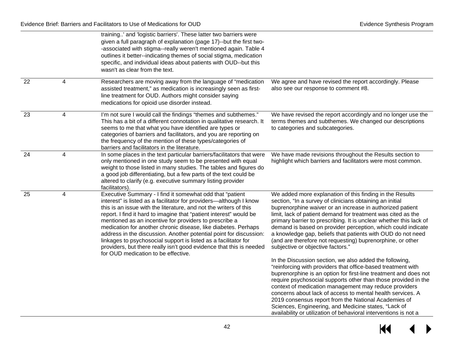|    |                | training' and 'logistic barriers'. These latter two barriers were<br>given a full paragraph of explanation (page 17)--but the first two-<br>-associated with stigma--really weren't mentioned again. Table 4<br>outlines it better--indicating themes of social stigma, medication<br>specific, and individual ideas about patients with OUD--but this<br>wasn't as clear from the text.                                                                                                                                                                                                                                                                     |                                                                                                                                                                                                                                                                                                                                                                                                                                                                                                                                                                                                                                                                                      |
|----|----------------|--------------------------------------------------------------------------------------------------------------------------------------------------------------------------------------------------------------------------------------------------------------------------------------------------------------------------------------------------------------------------------------------------------------------------------------------------------------------------------------------------------------------------------------------------------------------------------------------------------------------------------------------------------------|--------------------------------------------------------------------------------------------------------------------------------------------------------------------------------------------------------------------------------------------------------------------------------------------------------------------------------------------------------------------------------------------------------------------------------------------------------------------------------------------------------------------------------------------------------------------------------------------------------------------------------------------------------------------------------------|
| 22 | 4              | Researchers are moving away from the language of "medication<br>assisted treatment," as medication is increasingly seen as first-<br>line treatment for OUD. Authors might consider saying<br>medications for opioid use disorder instead.                                                                                                                                                                                                                                                                                                                                                                                                                   | We agree and have revised the report accordingly. Please<br>also see our response to comment #8.                                                                                                                                                                                                                                                                                                                                                                                                                                                                                                                                                                                     |
| 23 | 4              | I'm not sure I would call the findings "themes and subthemes."<br>This has a bit of a different connotation in qualitative research. It<br>seems to me that what you have identified are types or<br>categories of barriers and facilitators, and you are reporting on<br>the frequency of the mention of these types/categories of<br>barriers and facilitators in the literature.                                                                                                                                                                                                                                                                          | We have revised the report accordingly and no longer use the<br>terms themes and subthemes. We changed our descriptions<br>to categories and subcategories.                                                                                                                                                                                                                                                                                                                                                                                                                                                                                                                          |
| 24 | 4              | In some places in the text particular barriers/facilitators that were<br>only mentioned in one study seem to be presented with equal<br>weight to those listed in many studies. The tables and figures do<br>a good job differentiating, but a few parts of the text could be<br>altered to clarify (e.g. executive summary listing provider<br>facilitators).                                                                                                                                                                                                                                                                                               | We have made revisions throughout the Results section to<br>highlight which barriers and facilitators were most common.                                                                                                                                                                                                                                                                                                                                                                                                                                                                                                                                                              |
| 25 | $\overline{4}$ | Executive Summary - I find it somewhat odd that "patient<br>interest" is listed as a facilitator for providers-although I know<br>this is an issue with the literature, and not the writers of this<br>report. I find it hard to imagine that "patient interest" would be<br>mentioned as an incentive for providers to prescribe a<br>medication for another chronic disease, like diabetes. Perhaps<br>address in the discussion. Another potential point for discussion:<br>linkages to psychosocial support is listed as a facilitator for<br>providers, but there really isn't good evidence that this is needed<br>for OUD medication to be effective. | We added more explanation of this finding in the Results<br>section, "In a survey of clinicians obtaining an initial<br>buprenorphine waiver or an increase in authorized patient<br>limit, lack of patient demand for treatment was cited as the<br>primary barrier to prescribing. It is unclear whether this lack of<br>demand is based on provider perception, which could indicate<br>a knowledge gap, beliefs that patients with OUD do not need<br>(and are therefore not requesting) buprenorphine, or other<br>subjective or objective factors."<br>In the Discussion section, we also added the following,<br>"reinforcing with providers that office-based treatment with |
|    |                |                                                                                                                                                                                                                                                                                                                                                                                                                                                                                                                                                                                                                                                              | buprenorphine is an option for first-line treatment and does not<br>require psychosocial supports other than those provided in the<br>context of medication management may reduce providers<br>concerns about lack of access to mental health services. A<br>2019 consensus report from the National Academies of<br>Sciences, Engineering, and Medicine states, "Lack of<br>availability or utilization of behavioral interventions is not a                                                                                                                                                                                                                                        |

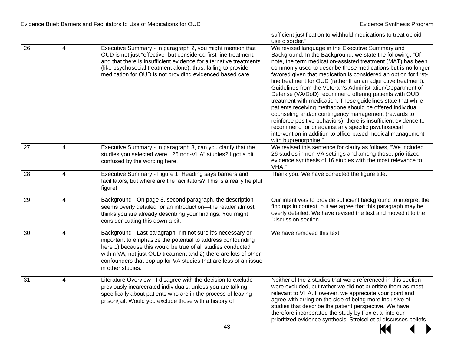|    |                |                                                                                                                                                                                                                                                                                                                                                        | sufficient justification to withhold medications to treat opioid<br>use disorder."                                                                                                                                                                                                                                                                                                                                                                                                                                                                                                                                                                                                                                                                                                                                                                                                                              |
|----|----------------|--------------------------------------------------------------------------------------------------------------------------------------------------------------------------------------------------------------------------------------------------------------------------------------------------------------------------------------------------------|-----------------------------------------------------------------------------------------------------------------------------------------------------------------------------------------------------------------------------------------------------------------------------------------------------------------------------------------------------------------------------------------------------------------------------------------------------------------------------------------------------------------------------------------------------------------------------------------------------------------------------------------------------------------------------------------------------------------------------------------------------------------------------------------------------------------------------------------------------------------------------------------------------------------|
| 26 | 4              | Executive Summary - In paragraph 2, you might mention that<br>OUD is not just "effective" but considered first-line treatment,<br>and that there is insufficient evidence for alternative treatments<br>(like psychosocial treatment alone), thus, failing to provide<br>medication for OUD is not providing evidenced based care.                     | We revised language in the Executive Summary and<br>Background. In the Background, we state the following, "Of<br>note, the term medication-assisted treatment (MAT) has been<br>commonly used to describe these medications but is no longer<br>favored given that medication is considered an option for first-<br>line treatment for OUD (rather than an adjunctive treatment).<br>Guidelines from the Veteran's Administration/Department of<br>Defense (VA/DoD) recommend offering patients with OUD<br>treatment with medication. These guidelines state that while<br>patients receiving methadone should be offered individual<br>counseling and/or contingency management (rewards to<br>reinforce positive behaviors), there is insufficient evidence to<br>recommend for or against any specific psychosocial<br>intervention in addition to office-based medical management<br>with buprenorphine." |
| 27 | 4              | Executive Summary - In paragraph 3, can you clarify that the<br>studies you selected were "26 non-VHA" studies? I got a bit<br>confused by the wording here.                                                                                                                                                                                           | We revised this sentence for clarity as follows, "We included<br>26 studies in non-VA settings and among those, prioritized<br>evidence synthesis of 16 studies with the most relevance to<br>VHA."                                                                                                                                                                                                                                                                                                                                                                                                                                                                                                                                                                                                                                                                                                             |
| 28 | $\overline{4}$ | Executive Summary - Figure 1: Heading says barriers and<br>facilitators, but where are the facilitators? This is a really helpful<br>figure!                                                                                                                                                                                                           | Thank you. We have corrected the figure title.                                                                                                                                                                                                                                                                                                                                                                                                                                                                                                                                                                                                                                                                                                                                                                                                                                                                  |
| 29 | 4              | Background - On page 8, second paragraph, the description<br>seems overly detailed for an introduction-the reader almost<br>thinks you are already describing your findings. You might<br>consider cutting this down a bit.                                                                                                                            | Our intent was to provide sufficient background to interpret the<br>findings in context, but we agree that this paragraph may be<br>overly detailed. We have revised the text and moved it to the<br>Discussion section.                                                                                                                                                                                                                                                                                                                                                                                                                                                                                                                                                                                                                                                                                        |
| 30 | 4              | Background - Last paragraph, I'm not sure it's necessary or<br>important to emphasize the potential to address confounding<br>here 1) because this would be true of all studies conducted<br>within VA, not just OUD treatment and 2) there are lots of other<br>confounders that pop up for VA studies that are less of an issue<br>in other studies. | We have removed this text.                                                                                                                                                                                                                                                                                                                                                                                                                                                                                                                                                                                                                                                                                                                                                                                                                                                                                      |
| 31 | 4              | Literature Overview - I disagree with the decision to exclude<br>previously incarcerated individuals, unless you are talking<br>specifically about patients who are in the process of leaving<br>prison/jail. Would you exclude those with a history of                                                                                                | Neither of the 2 studies that were referenced in this section<br>were excluded, but rather we did not prioritize them as most<br>relevant to VHA. However, we appreciate your point and<br>agree with erring on the side of being more inclusive of<br>studies that describe the patient perspective. We have<br>therefore incorporated the study by Fox et al into our<br>prioritized evidence synthesis. Streisel et al discusses beliefs                                                                                                                                                                                                                                                                                                                                                                                                                                                                     |

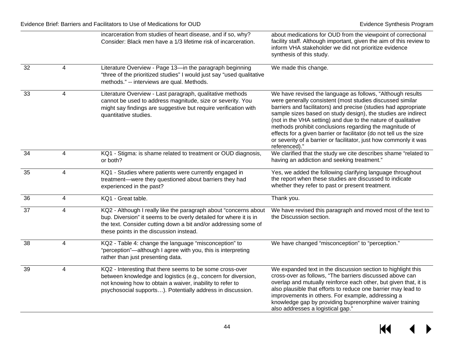|                 |                         | incarceration from studies of heart disease, and if so, why?<br>Consider: Black men have a 1/3 lifetime risk of incarceration.                                                                                                                       | about medications for OUD from the viewpoint of correctional<br>facility staff. Although important, given the aim of this review to<br>inform VHA stakeholder we did not prioritize evidence<br>synthesis of this study.                                                                                                                                                                                                                                                                                                                             |
|-----------------|-------------------------|------------------------------------------------------------------------------------------------------------------------------------------------------------------------------------------------------------------------------------------------------|------------------------------------------------------------------------------------------------------------------------------------------------------------------------------------------------------------------------------------------------------------------------------------------------------------------------------------------------------------------------------------------------------------------------------------------------------------------------------------------------------------------------------------------------------|
| 32              | 4                       | Literature Overview - Page 13-in the paragraph beginning<br>"three of the prioritized studies" I would just say "used qualitative<br>methods." -- interviews are qual. Methods.                                                                      | We made this change.                                                                                                                                                                                                                                                                                                                                                                                                                                                                                                                                 |
| 33              | $\overline{4}$          | Literature Overview - Last paragraph, qualitative methods<br>cannot be used to address magnitude, size or severity. You<br>might say findings are suggestive but require verification with<br>quantitative studies.                                  | We have revised the language as follows, "Although results<br>were generally consistent (most studies discussed similar<br>barriers and facilitators) and precise (studies had appropriate<br>sample sizes based on study design), the studies are indirect<br>(not in the VHA setting) and due to the nature of qualitative<br>methods prohibit conclusions regarding the magnitude of<br>effects for a given barrier or facilitator (do not tell us the size<br>or severity of a barrier or facilitator, just how commonly it was<br>referenced)." |
| 34              | $\overline{4}$          | KQ1 - Stigma: is shame related to treatment or OUD diagnosis,<br>or both?                                                                                                                                                                            | We clarified that the study we cite describes shame "related to<br>having an addiction and seeking treatment."                                                                                                                                                                                                                                                                                                                                                                                                                                       |
| 35              | $\overline{4}$          | KQ1 - Studies where patients were currently engaged in<br>treatment-were they questioned about barriers they had<br>experienced in the past?                                                                                                         | Yes, we added the following clarifying language throughout<br>the report when these studies are discussed to indicate<br>whether they refer to past or present treatment.                                                                                                                                                                                                                                                                                                                                                                            |
| 36              | 4                       | KQ1 - Great table.                                                                                                                                                                                                                                   | Thank you.                                                                                                                                                                                                                                                                                                                                                                                                                                                                                                                                           |
| $\overline{37}$ | 4                       | KQ2 - Although I really like the paragraph about "concerns about<br>bup. Diversion" it seems to be overly detailed for where it is in<br>the text. Consider cutting down a bit and/or addressing some of<br>these points in the discussion instead.  | We have revised this paragraph and moved most of the text to<br>the Discussion section.                                                                                                                                                                                                                                                                                                                                                                                                                                                              |
| 38              | $\overline{4}$          | KQ2 - Table 4: change the language "misconception" to<br>"perception"—although I agree with you, this is interpreting<br>rather than just presenting data.                                                                                           | We have changed "misconception" to "perception."                                                                                                                                                                                                                                                                                                                                                                                                                                                                                                     |
| 39              | $\overline{\mathbf{4}}$ | KQ2 - Interesting that there seems to be some cross-over<br>between knowledge and logistics (e.g., concern for diversion,<br>not knowing how to obtain a waiver, inability to refer to<br>psychosocial supports). Potentially address in discussion. | We expanded text in the discussion section to highlight this<br>cross-over as follows, "The barriers discussed above can<br>overlap and mutually reinforce each other, but given that, it is<br>also plausible that efforts to reduce one barrier may lead to<br>improvements in others. For example, addressing a<br>knowledge gap by providing buprenorphine waiver training<br>also addresses a logistical gap."                                                                                                                                  |

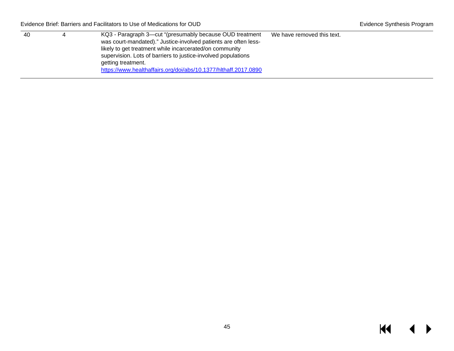| 40 | KQ3 - Paragraph 3—cut "(presumably because OUD treatment<br>We have removed this text. |
|----|----------------------------------------------------------------------------------------|
|    | was court-mandated)." Justice-involved patients are often less-                        |
|    | likely to get treatment while incarcerated/on community                                |
|    | supervision. Lots of barriers to justice-involved populations                          |
|    | getting treatment.                                                                     |
|    | https://www.healthaffairs.org/doi/abs/10.1377/hlthaff.2017.0890                        |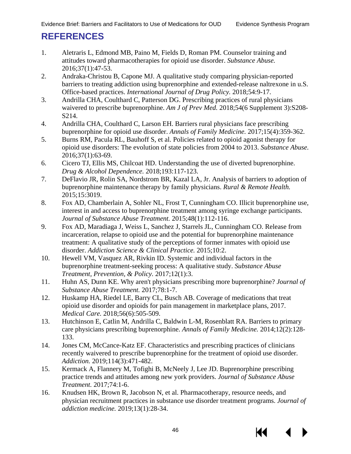# <span id="page-47-5"></span><span id="page-47-4"></span><span id="page-47-3"></span><span id="page-47-2"></span><span id="page-47-1"></span><span id="page-47-0"></span>**REFERENCES**

- <span id="page-47-6"></span>1. Aletraris L, Edmond MB, Paino M, Fields D, Roman PM. Counselor training and attitudes toward pharmacotherapies for opioid use disorder. *Substance Abuse.*  2016;37(1):47-53.
- <span id="page-47-7"></span>2. Andraka-Christou B, Capone MJ. A qualitative study comparing physician-reported barriers to treating addiction using buprenorphine and extended-release naltrexone in u.S. Office-based practices. *International Journal of Drug Policy.* 2018;54:9-17.
- <span id="page-47-8"></span>3. Andrilla CHA, Coulthard C, Patterson DG. Prescribing practices of rural physicians waivered to prescribe buprenorphine. *Am J of Prev Med.* 2018;54(6 Supplement 3):S208- S214.
- <span id="page-47-9"></span>4. Andrilla CHA, Coulthard C, Larson EH. Barriers rural physicians face prescribing buprenorphine for opioid use disorder. *Annals of Family Medicine.* 2017;15(4):359-362.
- 5. Burns RM, Pacula RL, Bauhoff S, et al. Policies related to opioid agonist therapy for opioid use disorders: The evolution of state policies from 2004 to 2013. *Substance Abuse.*  2016;37(1):63-69.
- <span id="page-47-10"></span>6. Cicero TJ, Ellis MS, Chilcoat HD. Understanding the use of diverted buprenorphine. *Drug & Alcohol Dependence.* 2018;193:117-123.
- <span id="page-47-11"></span>7. DeFlavio JR, Rolin SA, Nordstrom BR, Kazal LA, Jr. Analysis of barriers to adoption of buprenorphine maintenance therapy by family physicians. *Rural & Remote Health.*  2015;15:3019.
- <span id="page-47-12"></span>8. Fox AD, Chamberlain A, Sohler NL, Frost T, Cunningham CO. Illicit buprenorphine use, interest in and access to buprenorphine treatment among syringe exchange participants. *Journal of Substance Abuse Treatment.* 2015;48(1):112-116.
- <span id="page-47-14"></span><span id="page-47-13"></span>9. Fox AD, Maradiaga J, Weiss L, Sanchez J, Starrels JL, Cunningham CO. Release from incarceration, relapse to opioid use and the potential for buprenorphine maintenance treatment: A qualitative study of the perceptions of former inmates with opioid use disorder. *Addiction Science & Clinical Practice.* 2015;10:2.
- <span id="page-47-15"></span>10. Hewell VM, Vasquez AR, Rivkin ID. Systemic and individual factors in the buprenorphine treatment-seeking process: A qualitative study. *Substance Abuse Treatment, Prevention, & Policy.* 2017;12(1):3.
- <span id="page-47-16"></span>11. Huhn AS, Dunn KE. Why aren't physicians prescribing more buprenorphine? *Journal of Substance Abuse Treatment.* 2017;78:1-7.
- 12. Huskamp HA, Riedel LE, Barry CL, Busch AB. Coverage of medications that treat opioid use disorder and opioids for pain management in marketplace plans, 2017. *Medical Care.* 2018;56(6):505-509.
- 13. Hutchinson E, Catlin M, Andrilla C, Baldwin L-M, Rosenblatt RA. Barriers to primary care physicians prescribing buprenorphine. *Annals of Family Medicine.* 2014;12(2):128- 133.
- 14. Jones CM, McCance-Katz EF. Characteristics and prescribing practices of clinicians recently waivered to prescribe buprenorphine for the treatment of opioid use disorder. *Addiction.* 2019;114(3):471-482.
- 15. Kermack A, Flannery M, Tofighi B, McNeely J, Lee JD. Buprenorphine prescribing practice trends and attitudes among new york providers. *Journal of Substance Abuse Treatment.* 2017;74:1-6.
- 16. Knudsen HK, Brown R, Jacobson N, et al. Pharmacotherapy, resource needs, and physician recruitment practices in substance use disorder treatment programs. *Journal of addiction medicine.* 2019;13(1):28-34.